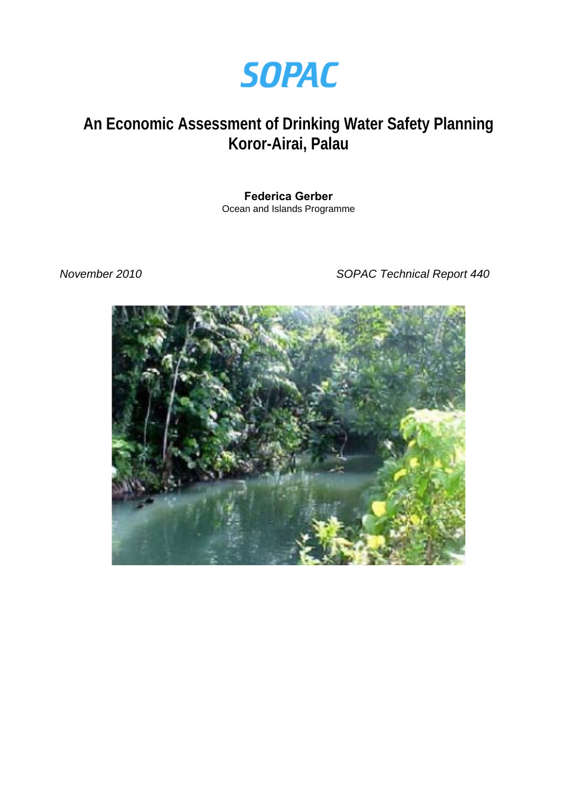

# **An Economic Assessment of Drinking Water Safety Planning Koror-Airai, Palau**

# **Federica Gerber**

Ocean and Islands Programme

*November 2010 SOPAC Technical Report 440* 

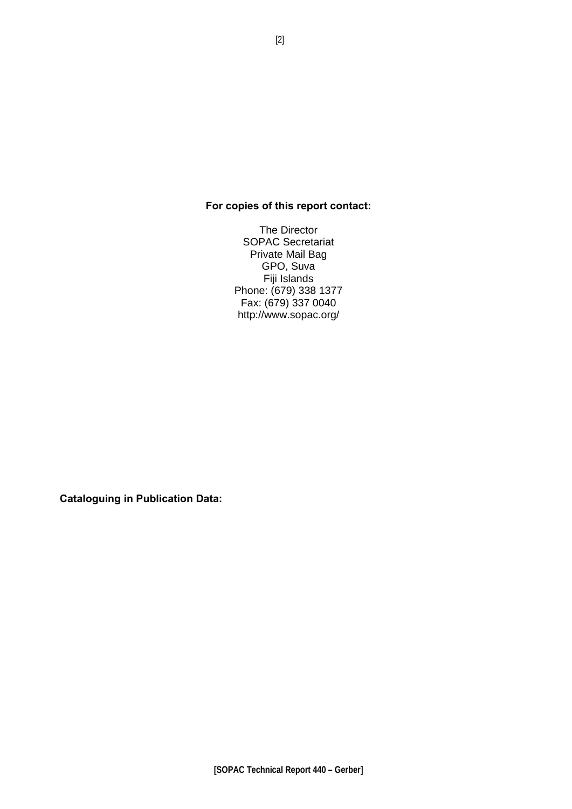### **For copies of this report contact:**

The Director SOPAC Secretariat Private Mail Bag GPO, Suva Fiji Islands Phone: (679) 338 1377 Fax: (679) 337 0040 http://www.sopac.org/

**Cataloguing in Publication Data:**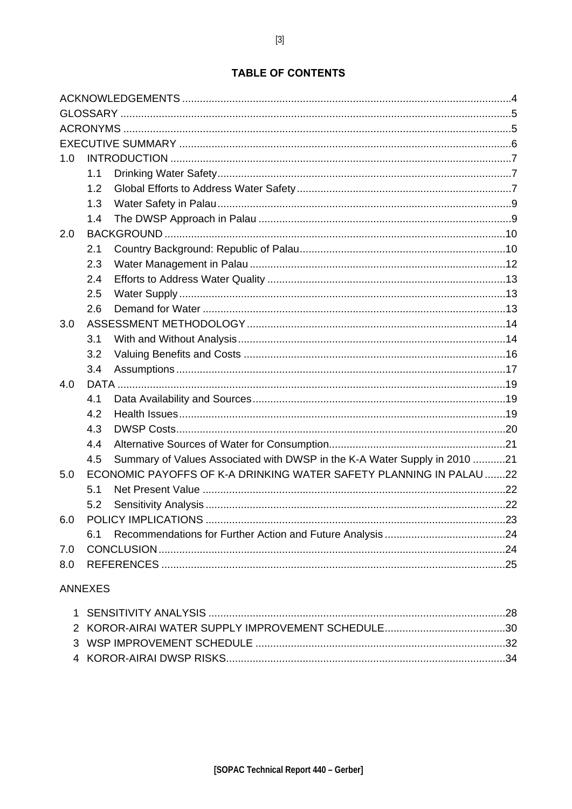### **TABLE OF CONTENTS**

| 1.0 |     |                                                                           |  |  |  |
|-----|-----|---------------------------------------------------------------------------|--|--|--|
|     | 1.1 |                                                                           |  |  |  |
|     | 1.2 |                                                                           |  |  |  |
|     | 1.3 |                                                                           |  |  |  |
|     | 1.4 |                                                                           |  |  |  |
| 2.0 |     |                                                                           |  |  |  |
|     | 2.1 |                                                                           |  |  |  |
|     | 2.3 |                                                                           |  |  |  |
|     | 2.4 |                                                                           |  |  |  |
|     | 2.5 |                                                                           |  |  |  |
|     | 2.6 |                                                                           |  |  |  |
| 3.0 |     |                                                                           |  |  |  |
|     | 3.1 |                                                                           |  |  |  |
|     | 3.2 |                                                                           |  |  |  |
|     | 3.4 |                                                                           |  |  |  |
| 4.0 |     |                                                                           |  |  |  |
|     | 4.1 |                                                                           |  |  |  |
|     | 4.2 |                                                                           |  |  |  |
|     | 4.3 |                                                                           |  |  |  |
|     | 4.4 |                                                                           |  |  |  |
|     | 4.5 | Summary of Values Associated with DWSP in the K-A Water Supply in 2010 21 |  |  |  |
| 5.0 |     | ECONOMIC PAYOFFS OF K-A DRINKING WATER SAFETY PLANNING IN PALAU 22        |  |  |  |
|     | 5.1 |                                                                           |  |  |  |
|     | 5.2 |                                                                           |  |  |  |
| 6.0 |     |                                                                           |  |  |  |
|     | 6.1 |                                                                           |  |  |  |
| 7.0 |     |                                                                           |  |  |  |
| 8.0 |     |                                                                           |  |  |  |
|     |     |                                                                           |  |  |  |

### **ANNEXES**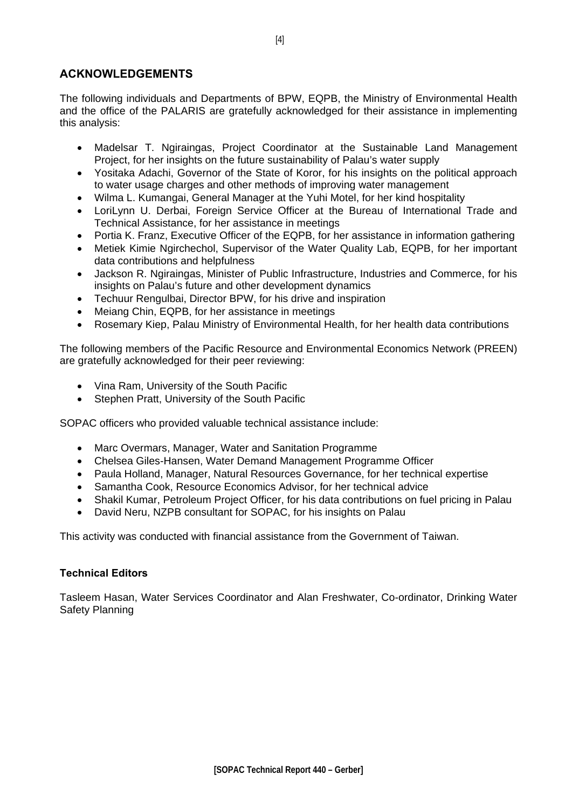### <span id="page-3-0"></span>**ACKNOWLEDGEMENTS**

The following individuals and Departments of BPW, EQPB, the Ministry of Environmental Health and the office of the PALARIS are gratefully acknowledged for their assistance in implementing this analysis:

- Madelsar T. Ngiraingas, Project Coordinator at the Sustainable Land Management Project, for her insights on the future sustainability of Palau's water supply
- Yositaka Adachi, Governor of the State of Koror, for his insights on the political approach to water usage charges and other methods of improving water management
- Wilma L. Kumangai, General Manager at the Yuhi Motel, for her kind hospitality
- LoriLynn U. Derbai, Foreign Service Officer at the Bureau of International Trade and Technical Assistance, for her assistance in meetings
- Portia K. Franz, Executive Officer of the EQPB, for her assistance in information gathering
- Metiek Kimie Ngirchechol, Supervisor of the Water Quality Lab, EQPB, for her important data contributions and helpfulness
- Jackson R. Ngiraingas, Minister of Public Infrastructure, Industries and Commerce, for his insights on Palau's future and other development dynamics
- Techuur Rengulbai, Director BPW, for his drive and inspiration
- Meiang Chin, EQPB, for her assistance in meetings
- Rosemary Kiep, Palau Ministry of Environmental Health, for her health data contributions

The following members of the Pacific Resource and Environmental Economics Network (PREEN) are gratefully acknowledged for their peer reviewing:

- Vina Ram, University of the South Pacific
- Stephen Pratt, University of the South Pacific

SOPAC officers who provided valuable technical assistance include:

- Marc Overmars, Manager, Water and Sanitation Programme
- Chelsea Giles-Hansen, Water Demand Management Programme Officer
- Paula Holland, Manager, Natural Resources Governance, for her technical expertise
- Samantha Cook, Resource Economics Advisor, for her technical advice
- Shakil Kumar, Petroleum Project Officer, for his data contributions on fuel pricing in Palau
- David Neru, NZPB consultant for SOPAC, for his insights on Palau

This activity was conducted with financial assistance from the Government of Taiwan.

### **Technical Editors**

Tasleem Hasan, Water Services Coordinator and Alan Freshwater, Co-ordinator, Drinking Water Safety Planning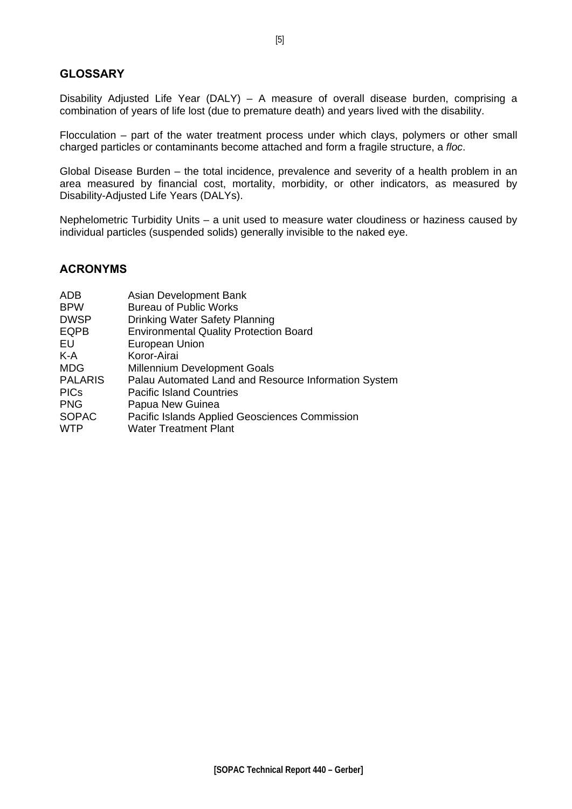### <span id="page-4-0"></span>**GLOSSARY**

Disability Adjusted Life Year (DALY) – A measure of overall disease burden, comprising a combination of years of life lost (due to premature death) and years lived with the disability.

Flocculation – part of the water treatment process under which clays, polymers or other small charged particles or contaminants become attached and form a fragile structure, a *floc*.

Global Disease Burden – the total incidence, prevalence and severity of a health problem in an area measured by financial cost, mortality, morbidity, or other indicators, as measured by Disability-Adjusted Life Years (DALYs).

Nephelometric Turbidity Units – a unit used to measure water cloudiness or haziness caused by individual particles (suspended solids) generally invisible to the naked eye.

### **ACRONYMS**

| ADB            | Asian Development Bank                               |
|----------------|------------------------------------------------------|
| <b>BPW</b>     | <b>Bureau of Public Works</b>                        |
| <b>DWSP</b>    | Drinking Water Safety Planning                       |
| <b>EQPB</b>    | <b>Environmental Quality Protection Board</b>        |
| EU             | European Union                                       |
| K-A            | Koror-Airai                                          |
| <b>MDG</b>     | <b>Millennium Development Goals</b>                  |
| <b>PALARIS</b> | Palau Automated Land and Resource Information System |
| <b>PICs</b>    | <b>Pacific Island Countries</b>                      |
| <b>PNG</b>     | Papua New Guinea                                     |
| <b>SOPAC</b>   | Pacific Islands Applied Geosciences Commission       |
| <b>WTP</b>     | <b>Water Treatment Plant</b>                         |
|                |                                                      |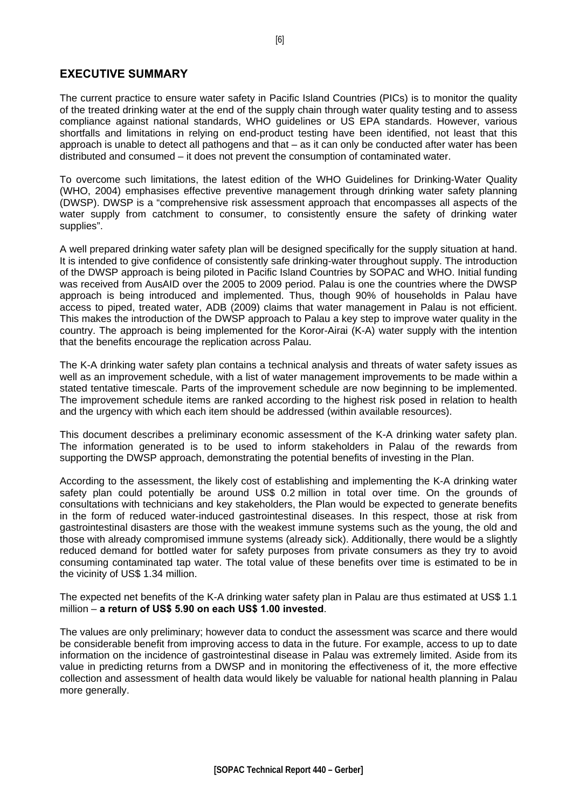### <span id="page-5-0"></span>**EXECUTIVE SUMMARY**

The current practice to ensure water safety in Pacific Island Countries (PICs) is to monitor the quality of the treated drinking water at the end of the supply chain through water quality testing and to assess compliance against national standards, WHO guidelines or US EPA standards. However, various shortfalls and limitations in relying on end-product testing have been identified, not least that this approach is unable to detect all pathogens and that – as it can only be conducted after water has been distributed and consumed – it does not prevent the consumption of contaminated water.

To overcome such limitations, the latest edition of the WHO Guidelines for Drinking-Water Quality (WHO, 2004) emphasises effective preventive management through drinking water safety planning (DWSP). DWSP is a "comprehensive risk assessment approach that encompasses all aspects of the water supply from catchment to consumer, to consistently ensure the safety of drinking water supplies".

A well prepared drinking water safety plan will be designed specifically for the supply situation at hand. It is intended to give confidence of consistently safe drinking-water throughout supply. The introduction of the DWSP approach is being piloted in Pacific Island Countries by SOPAC and WHO. Initial funding was received from AusAID over the 2005 to 2009 period. Palau is one the countries where the DWSP approach is being introduced and implemented. Thus, though 90% of households in Palau have access to piped, treated water, ADB (2009) claims that water management in Palau is not efficient. This makes the introduction of the DWSP approach to Palau a key step to improve water quality in the country. The approach is being implemented for the Koror-Airai (K-A) water supply with the intention that the benefits encourage the replication across Palau.

The K-A drinking water safety plan contains a technical analysis and threats of water safety issues as well as an improvement schedule, with a list of water management improvements to be made within a stated tentative timescale. Parts of the improvement schedule are now beginning to be implemented. The improvement schedule items are ranked according to the highest risk posed in relation to health and the urgency with which each item should be addressed (within available resources).

This document describes a preliminary economic assessment of the K-A drinking water safety plan. The information generated is to be used to inform stakeholders in Palau of the rewards from supporting the DWSP approach, demonstrating the potential benefits of investing in the Plan.

According to the assessment, the likely cost of establishing and implementing the K-A drinking water safety plan could potentially be around US\$ 0.2 million in total over time. On the grounds of consultations with technicians and key stakeholders, the Plan would be expected to generate benefits in the form of reduced water-induced gastrointestinal diseases. In this respect, those at risk from gastrointestinal disasters are those with the weakest immune systems such as the young, the old and those with already compromised immune systems (already sick). Additionally, there would be a slightly reduced demand for bottled water for safety purposes from private consumers as they try to avoid consuming contaminated tap water. The total value of these benefits over time is estimated to be in the vicinity of US\$ 1.34 million.

The expected net benefits of the K-A drinking water safety plan in Palau are thus estimated at US\$ 1.1 million – **a return of US\$ 5.90 on each US\$ 1.00 invested**.

The values are only preliminary; however data to conduct the assessment was scarce and there would be considerable benefit from improving access to data in the future. For example, access to up to date information on the incidence of gastrointestinal disease in Palau was extremely limited. Aside from its value in predicting returns from a DWSP and in monitoring the effectiveness of it, the more effective collection and assessment of health data would likely be valuable for national health planning in Palau more generally.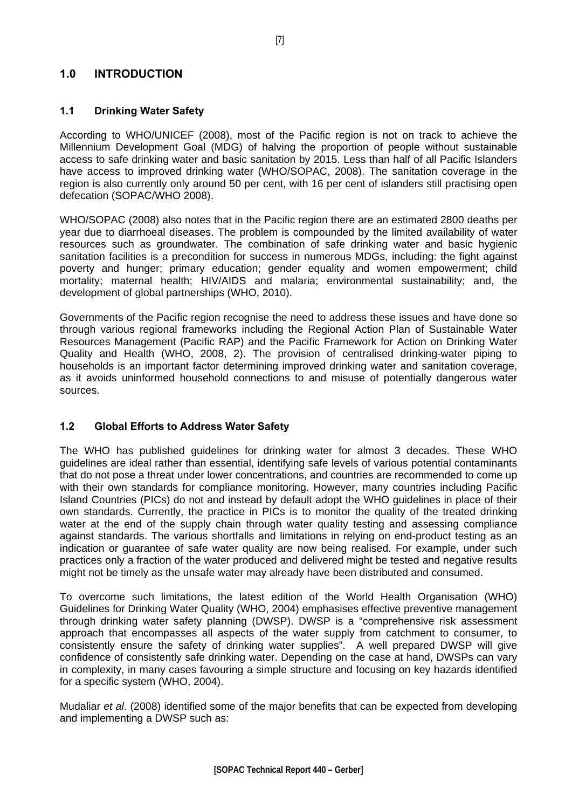### <span id="page-6-0"></span>**1.0 INTRODUCTION**

#### **1.1 Drinking Water Safety**

According to WHO/UNICEF (2008), most of the Pacific region is not on track to achieve the Millennium Development Goal (MDG) of halving the proportion of people without sustainable access to safe drinking water and basic sanitation by 2015. Less than half of all Pacific Islanders have access to improved drinking water (WHO/SOPAC, 2008). The sanitation coverage in the region is also currently only around 50 per cent, with 16 per cent of islanders still practising open defecation (SOPAC/WHO 2008).

WHO/SOPAC (2008) also notes that in the Pacific region there are an estimated 2800 deaths per year due to diarrhoeal diseases. The problem is compounded by the limited availability of water resources such as groundwater. The combination of safe drinking water and basic hygienic sanitation facilities is a precondition for success in numerous MDGs, including: the fight against poverty and hunger; primary education; gender equality and women empowerment; child mortality; maternal health; HIV/AIDS and malaria; environmental sustainability; and, the development of global partnerships (WHO, 2010).

Governments of the Pacific region recognise the need to address these issues and have done so through various regional frameworks including the Regional Action Plan of Sustainable Water Resources Management (Pacific RAP) and the Pacific Framework for Action on Drinking Water Quality and Health (WHO, 2008, 2). The provision of centralised drinking-water piping to households is an important factor determining improved drinking water and sanitation coverage, as it avoids uninformed household connections to and misuse of potentially dangerous water sources.

### **1.2 Global Efforts to Address Water Safety**

The WHO has published guidelines for drinking water for almost 3 decades. These WHO guidelines are ideal rather than essential, identifying safe levels of various potential contaminants that do not pose a threat under lower concentrations, and countries are recommended to come up with their own standards for compliance monitoring. However, many countries including Pacific Island Countries (PICs) do not and instead by default adopt the WHO guidelines in place of their own standards. Currently, the practice in PICs is to monitor the quality of the treated drinking water at the end of the supply chain through water quality testing and assessing compliance against standards. The various shortfalls and limitations in relying on end-product testing as an indication or guarantee of safe water quality are now being realised. For example, under such practices only a fraction of the water produced and delivered might be tested and negative results might not be timely as the unsafe water may already have been distributed and consumed.

To overcome such limitations, the latest edition of the World Health Organisation (WHO) Guidelines for Drinking Water Quality (WHO, 2004) emphasises effective preventive management through drinking water safety planning (DWSP). DWSP is a "comprehensive risk assessment approach that encompasses all aspects of the water supply from catchment to consumer, to consistently ensure the safety of drinking water supplies". A well prepared DWSP will give confidence of consistently safe drinking water. Depending on the case at hand, DWSPs can vary in complexity, in many cases favouring a simple structure and focusing on key hazards identified for a specific system (WHO, 2004).

Mudaliar *et al*. (2008) identified some of the major benefits that can be expected from developing and implementing a DWSP such as: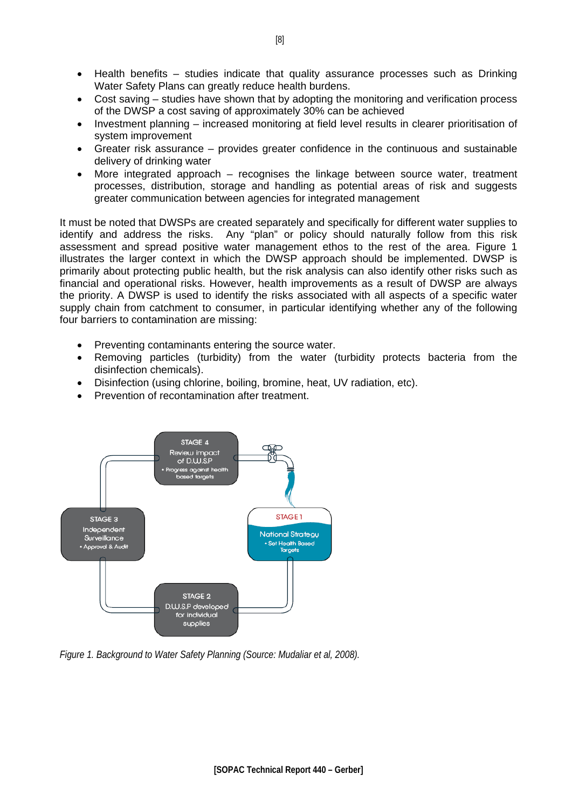- Health benefits studies indicate that quality assurance processes such as Drinking Water Safety Plans can greatly reduce health burdens.
- Cost saving studies have shown that by adopting the monitoring and verification process of the DWSP a cost saving of approximately 30% can be achieved
- Investment planning increased monitoring at field level results in clearer prioritisation of system improvement
- Greater risk assurance provides greater confidence in the continuous and sustainable delivery of drinking water
- More integrated approach  $-$  recognises the linkage between source water, treatment processes, distribution, storage and handling as potential areas of risk and suggests greater communication between agencies for integrated management

It must be noted that DWSPs are created separately and specifically for different water supplies to identify and address the risks. Any "plan" or policy should naturally follow from this risk assessment and spread positive water management ethos to the rest of the area. Figure 1 illustrates the larger context in which the DWSP approach should be implemented. DWSP is primarily about protecting public health, but the risk analysis can also identify other risks such as financial and operational risks. However, health improvements as a result of DWSP are always the priority. A DWSP is used to identify the risks associated with all aspects of a specific water supply chain from catchment to consumer, in particular identifying whether any of the following four barriers to contamination are missing:

- Preventing contaminants entering the source water.
- Removing particles (turbidity) from the water (turbidity protects bacteria from the disinfection chemicals).
- Disinfection (using chlorine, boiling, bromine, heat, UV radiation, etc).
- Prevention of recontamination after treatment.



*Figure 1. Background to Water Safety Planning (Source: Mudaliar et al, 2008).*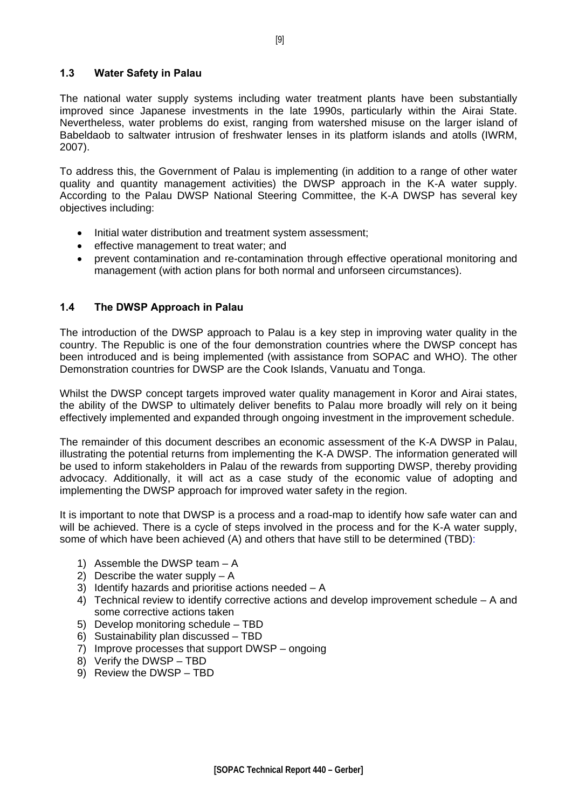#### <span id="page-8-0"></span>**1.3 Water Safety in Palau**

The national water supply systems including water treatment plants have been substantially improved since Japanese investments in the late 1990s, particularly within the Airai State. Nevertheless, water problems do exist, ranging from watershed misuse on the larger island of Babeldaob to saltwater intrusion of freshwater lenses in its platform islands and atolls (IWRM, 2007).

To address this, the Government of Palau is implementing (in addition to a range of other water quality and quantity management activities) the DWSP approach in the K-A water supply. According to the Palau DWSP National Steering Committee, the K-A DWSP has several key objectives including:

- Initial water distribution and treatment system assessment;
- effective management to treat water; and
- prevent contamination and re-contamination through effective operational monitoring and management (with action plans for both normal and unforseen circumstances).

### **1.4 The DWSP Approach in Palau**

The introduction of the DWSP approach to Palau is a key step in improving water quality in the country. The Republic is one of the four demonstration countries where the DWSP concept has been introduced and is being implemented (with assistance from SOPAC and WHO). The other Demonstration countries for DWSP are the Cook Islands, Vanuatu and Tonga.

Whilst the DWSP concept targets improved water quality management in Koror and Airai states, the ability of the DWSP to ultimately deliver benefits to Palau more broadly will rely on it being effectively implemented and expanded through ongoing investment in the improvement schedule.

The remainder of this document describes an economic assessment of the K-A DWSP in Palau, illustrating the potential returns from implementing the K-A DWSP. The information generated will be used to inform stakeholders in Palau of the rewards from supporting DWSP, thereby providing advocacy. Additionally, it will act as a case study of the economic value of adopting and implementing the DWSP approach for improved water safety in the region.

It is important to note that DWSP is a process and a road-map to identify how safe water can and will be achieved. There is a cycle of steps involved in the process and for the K-A water supply, some of which have been achieved (A) and others that have still to be determined (TBD):

- 1) Assemble the DWSP team A
- 2) Describe the water supply A
- 3) Identify hazards and prioritise actions needed A
- 4) Technical review to identify corrective actions and develop improvement schedule A and some corrective actions taken
- 5) Develop monitoring schedule TBD
- 6) Sustainability plan discussed TBD
- 7) Improve processes that support DWSP ongoing
- 8) Verify the DWSP TBD
- 9) Review the DWSP TBD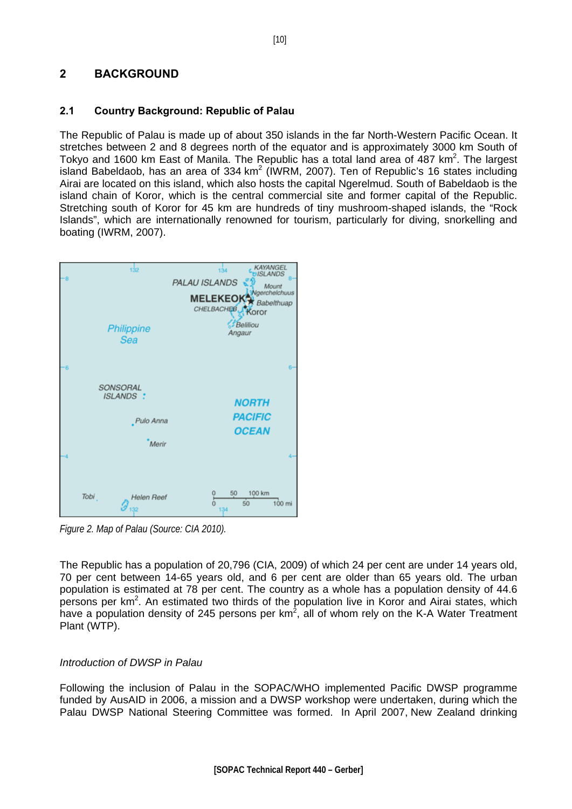### <span id="page-9-0"></span>**2 BACKGROUND**

#### **2.1 Country Background: Republic of Palau**

The Republic of Palau is made up of about 350 islands in the far North-Western Pacific Ocean. It stretches between 2 and 8 degrees north of the equator and is approximately 3000 km South of Tokyo and 1600 km East of Manila. The Republic has a total land area of  $487 \text{ km}^2$ . The largest island Babeldaob, has an area of 334 km<sup>2</sup> (IWRM, 2007). Ten of Republic's 16 states including Airai are located on this island, which also hosts the capital Ngerelmud. South of Babeldaob is the island chain of Koror, which is the central commercial site and former capital of the Republic. Stretching south of Koror for 45 km are hundreds of tiny mushroom-shaped islands, the "Rock Islands", which are internationally renowned for tourism, particularly for diving, snorkelling and boating (IWRM, 2007).



*Figure 2. Map of Palau (Source: CIA 2010).* 

The Republic has a population of 20,796 (CIA, 2009) of which 24 per cent are under 14 years old, 70 per cent between 14-65 years old, and 6 per cent are older than 65 years old. The urban population is estimated at 78 per cent. The country as a whole has a population density of 44.6 persons per  $km^2$ . An estimated two thirds of the population live in Koror and Airai states, which have a population density of 245 persons per km<sup>2</sup>, all of whom rely on the K-A Water Treatment Plant (WTP).

### *Introduction of DWSP in Palau*

Following the inclusion of Palau in the SOPAC/WHO implemented Pacific DWSP programme funded by AusAID in 2006, a mission and a DWSP workshop were undertaken, during which the Palau DWSP National Steering Committee was formed. In April 2007, New Zealand drinking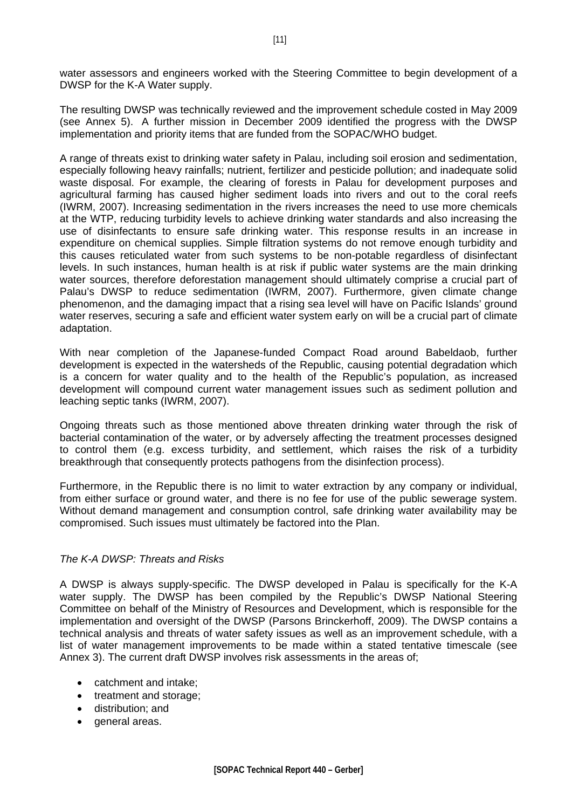water assessors and engineers worked with the Steering Committee to begin development of a DWSP for the K-A Water supply.

The resulting DWSP was technically reviewed and the improvement schedule costed in May 2009 (see Annex 5). A further mission in December 2009 identified the progress with the DWSP implementation and priority items that are funded from the SOPAC/WHO budget.

A range of threats exist to drinking water safety in Palau, including soil erosion and sedimentation, especially following heavy rainfalls; nutrient, fertilizer and pesticide pollution; and inadequate solid waste disposal. For example, the clearing of forests in Palau for development purposes and agricultural farming has caused higher sediment loads into rivers and out to the coral reefs (IWRM, 2007). Increasing sedimentation in the rivers increases the need to use more chemicals at the WTP, reducing turbidity levels to achieve drinking water standards and also increasing the use of disinfectants to ensure safe drinking water. This response results in an increase in expenditure on chemical supplies. Simple filtration systems do not remove enough turbidity and this causes reticulated water from such systems to be non-potable regardless of disinfectant levels. In such instances, human health is at risk if public water systems are the main drinking water sources, therefore deforestation management should ultimately comprise a crucial part of Palau's DWSP to reduce sedimentation (IWRM, 2007). Furthermore, given climate change phenomenon, and the damaging impact that a rising sea level will have on Pacific Islands' ground water reserves, securing a safe and efficient water system early on will be a crucial part of climate adaptation.

With near completion of the Japanese-funded Compact Road around Babeldaob, further development is expected in the watersheds of the Republic, causing potential degradation which is a concern for water quality and to the health of the Republic's population, as increased development will compound current water management issues such as sediment pollution and leaching septic tanks (IWRM, 2007).

Ongoing threats such as those mentioned above threaten drinking water through the risk of bacterial contamination of the water, or by adversely affecting the treatment processes designed to control them (e.g. excess turbidity, and settlement, which raises the risk of a turbidity breakthrough that consequently protects pathogens from the disinfection process).

Furthermore, in the Republic there is no limit to water extraction by any company or individual, from either surface or ground water, and there is no fee for use of the public sewerage system. Without demand management and consumption control, safe drinking water availability may be compromised. Such issues must ultimately be factored into the Plan.

#### *The K-A DWSP: Threats and Risks*

A DWSP is always supply-specific. The DWSP developed in Palau is specifically for the K-A water supply. The DWSP has been compiled by the Republic's DWSP National Steering Committee on behalf of the Ministry of Resources and Development, which is responsible for the implementation and oversight of the DWSP (Parsons Brinckerhoff, 2009). The DWSP contains a technical analysis and threats of water safety issues as well as an improvement schedule, with a list of water management improvements to be made within a stated tentative timescale (see Annex 3). The current draft DWSP involves risk assessments in the areas of;

- catchment and intake:
- treatment and storage;
- distribution; and
- general areas.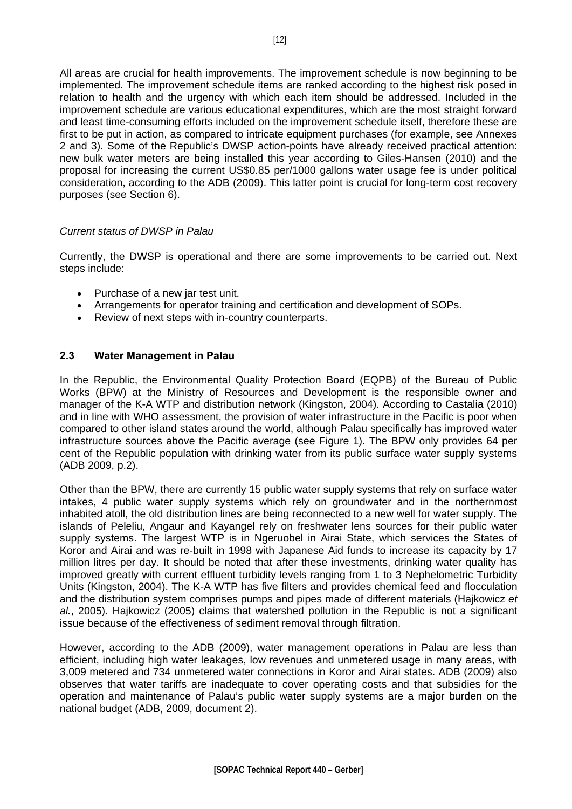<span id="page-11-0"></span>All areas are crucial for health improvements. The improvement schedule is now beginning to be implemented. The improvement schedule items are ranked according to the highest risk posed in relation to health and the urgency with which each item should be addressed. Included in the improvement schedule are various educational expenditures, which are the most straight forward and least time-consuming efforts included on the improvement schedule itself, therefore these are first to be put in action, as compared to intricate equipment purchases (for example, see Annexes 2 and 3). Some of the Republic's DWSP action-points have already received practical attention: new bulk water meters are being installed this year according to Giles-Hansen (2010) and the proposal for increasing the current US\$0.85 per/1000 gallons water usage fee is under political consideration, according to the ADB (2009). This latter point is crucial for long-term cost recovery purposes (see Section 6).

### *Current status of DWSP in Palau*

Currently, the DWSP is operational and there are some improvements to be carried out. Next steps include:

- Purchase of a new jar test unit.
- Arrangements for operator training and certification and development of SOPs.
- Review of next steps with in-country counterparts.

### **2.3 Water Management in Palau**

In the Republic, the Environmental Quality Protection Board (EQPB) of the Bureau of Public Works (BPW) at the Ministry of Resources and Development is the responsible owner and manager of the K-A WTP and distribution network (Kingston, 2004). According to Castalia (2010) and in line with WHO assessment, the provision of water infrastructure in the Pacific is poor when compared to other island states around the world, although Palau specifically has improved water infrastructure sources above the Pacific average (see Figure 1). The BPW only provides 64 per cent of the Republic population with drinking water from its public surface water supply systems (ADB 2009, p.2).

Other than the BPW, there are currently 15 public water supply systems that rely on surface water intakes, 4 public water supply systems which rely on groundwater and in the northernmost inhabited atoll, the old distribution lines are being reconnected to a new well for water supply. The islands of Peleliu, Angaur and Kayangel rely on freshwater lens sources for their public water supply systems. The largest WTP is in Ngeruobel in Airai State, which services the States of Koror and Airai and was re-built in 1998 with Japanese Aid funds to increase its capacity by 17 million litres per day. It should be noted that after these investments, drinking water quality has improved greatly with current effluent turbidity levels ranging from 1 to 3 Nephelometric Turbidity Units (Kingston, 2004). The K-A WTP has five filters and provides chemical feed and flocculation and the distribution system comprises pumps and pipes made of different materials (Hajkowicz *et al.*, 2005). Hajkowicz (2005) claims that watershed pollution in the Republic is not a significant issue because of the effectiveness of sediment removal through filtration.

However, according to the ADB (2009), water management operations in Palau are less than efficient, including high water leakages, low revenues and unmetered usage in many areas, with 3,009 metered and 734 unmetered water connections in Koror and Airai states. ADB (2009) also observes that water tariffs are inadequate to cover operating costs and that subsidies for the operation and maintenance of Palau's public water supply systems are a major burden on the national budget (ADB, 2009, document 2).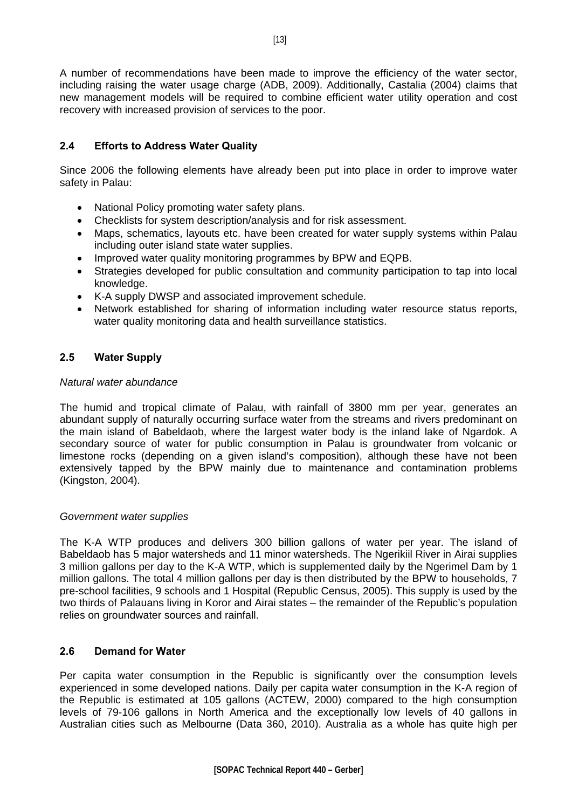<span id="page-12-0"></span>A number of recommendations have been made to improve the efficiency of the water sector, including raising the water usage charge (ADB, 2009). Additionally, Castalia (2004) claims that new management models will be required to combine efficient water utility operation and cost recovery with increased provision of services to the poor.

### **2.4 Efforts to Address Water Quality**

Since 2006 the following elements have already been put into place in order to improve water safety in Palau:

- National Policy promoting water safety plans.
- Checklists for system description/analysis and for risk assessment.
- Maps, schematics, layouts etc. have been created for water supply systems within Palau including outer island state water supplies.
- Improved water quality monitoring programmes by BPW and EQPB.
- Strategies developed for public consultation and community participation to tap into local knowledge.
- K-A supply DWSP and associated improvement schedule.
- Network established for sharing of information including water resource status reports, water quality monitoring data and health surveillance statistics.

### **2.5 Water Supply**

#### *Natural water abundance*

The humid and tropical climate of Palau, with rainfall of 3800 mm per year, generates an abundant supply of naturally occurring surface water from the streams and rivers predominant on the main island of Babeldaob, where the largest water body is the inland lake of Ngardok. A secondary source of water for public consumption in Palau is groundwater from volcanic or limestone rocks (depending on a given island's composition), although these have not been extensively tapped by the BPW mainly due to maintenance and contamination problems (Kingston, 2004).

#### *Government water supplies*

The K-A WTP produces and delivers 300 billion gallons of water per year. The island of Babeldaob has 5 major watersheds and 11 minor watersheds. The Ngerikiil River in Airai supplies 3 million gallons per day to the K-A WTP, which is supplemented daily by the Ngerimel Dam by 1 million gallons. The total 4 million gallons per day is then distributed by the BPW to households, 7 pre-school facilities, 9 schools and 1 Hospital (Republic Census, 2005). This supply is used by the two thirds of Palauans living in Koror and Airai states – the remainder of the Republic's population relies on groundwater sources and rainfall.

### **2.6 Demand for Water**

Per capita water consumption in the Republic is significantly over the consumption levels experienced in some developed nations. Daily per capita water consumption in the K-A region of the Republic is estimated at 105 gallons (ACTEW, 2000) compared to the high consumption levels of 79-106 gallons in North America and the exceptionally low levels of 40 gallons in Australian cities such as Melbourne (Data 360, 2010). Australia as a whole has quite high per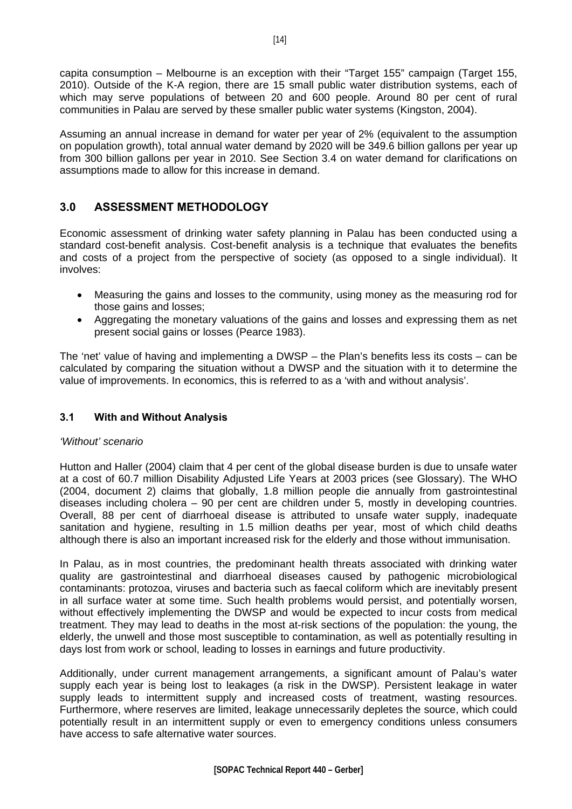<span id="page-13-0"></span>capita consumption – Melbourne is an exception with their "Target 155" campaign (Target 155, 2010). Outside of the K-A region, there are 15 small public water distribution systems, each of which may serve populations of between 20 and 600 people. Around 80 per cent of rural communities in Palau are served by these smaller public water systems (Kingston, 2004).

Assuming an annual increase in demand for water per year of 2% (equivalent to the assumption on population growth), total annual water demand by 2020 will be 349.6 billion gallons per year up from 300 billion gallons per year in 2010. See Section 3.4 on water demand for clarifications on assumptions made to allow for this increase in demand.

### **3.0 ASSESSMENT METHODOLOGY**

Economic assessment of drinking water safety planning in Palau has been conducted using a standard cost-benefit analysis. Cost-benefit analysis is a technique that evaluates the benefits and costs of a project from the perspective of society (as opposed to a single individual). It involves:

- Measuring the gains and losses to the community, using money as the measuring rod for those gains and losses;
- Aggregating the monetary valuations of the gains and losses and expressing them as net present social gains or losses (Pearce 1983).

The 'net' value of having and implementing a DWSP – the Plan's benefits less its costs – can be calculated by comparing the situation without a DWSP and the situation with it to determine the value of improvements. In economics, this is referred to as a 'with and without analysis'.

### **3.1 With and Without Analysis**

### *'Without' scenario*

Hutton and Haller (2004) claim that 4 per cent of the global disease burden is due to unsafe water at a cost of 60.7 million Disability Adjusted Life Years at 2003 prices (see Glossary). The WHO (2004, document 2) claims that globally, 1.8 million people die annually from gastrointestinal diseases including cholera – 90 per cent are children under 5, mostly in developing countries. Overall, 88 per cent of diarrhoeal disease is attributed to unsafe water supply, inadequate sanitation and hygiene, resulting in 1.5 million deaths per year, most of which child deaths although there is also an important increased risk for the elderly and those without immunisation.

In Palau, as in most countries, the predominant health threats associated with drinking water quality are gastrointestinal and diarrhoeal diseases caused by pathogenic microbiological contaminants: protozoa, viruses and bacteria such as faecal coliform which are inevitably present in all surface water at some time. Such health problems would persist, and potentially worsen, without effectively implementing the DWSP and would be expected to incur costs from medical treatment. They may lead to deaths in the most at-risk sections of the population: the young, the elderly, the unwell and those most susceptible to contamination, as well as potentially resulting in days lost from work or school, leading to losses in earnings and future productivity.

Additionally, under current management arrangements, a significant amount of Palau's water supply each year is being lost to leakages (a risk in the DWSP). Persistent leakage in water supply leads to intermittent supply and increased costs of treatment, wasting resources. Furthermore, where reserves are limited, leakage unnecessarily depletes the source, which could potentially result in an intermittent supply or even to emergency conditions unless consumers have access to safe alternative water sources.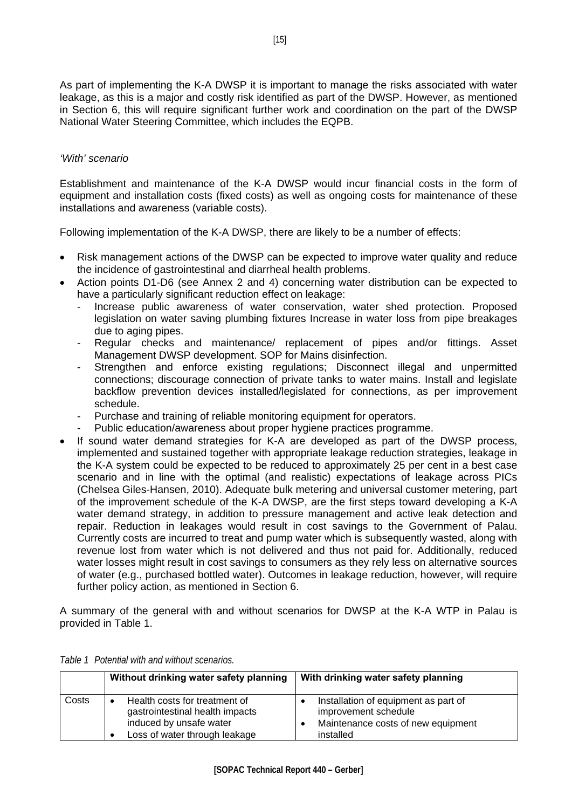<span id="page-14-0"></span>As part of implementing the K-A DWSP it is important to manage the risks associated with water leakage, as this is a major and costly risk identified as part of the DWSP. However, as mentioned in Section 6, this will require significant further work and coordination on the part of the DWSP National Water Steering Committee, which includes the EQPB.

#### *'With' scenario*

Establishment and maintenance of the K-A DWSP would incur financial costs in the form of equipment and installation costs (fixed costs) as well as ongoing costs for maintenance of these installations and awareness (variable costs).

Following implementation of the K-A DWSP, there are likely to be a number of effects:

- Risk management actions of the DWSP can be expected to improve water quality and reduce the incidence of gastrointestinal and diarrheal health problems.
- Action points D1-D6 (see Annex 2 and 4) concerning water distribution can be expected to have a particularly significant reduction effect on leakage:
	- Increase public awareness of water conservation, water shed protection. Proposed legislation on water saving plumbing fixtures Increase in water loss from pipe breakages due to aging pipes.
	- Regular checks and maintenance/ replacement of pipes and/or fittings. Asset Management DWSP development. SOP for Mains disinfection.
	- Strengthen and enforce existing regulations; Disconnect illegal and unpermitted connections; discourage connection of private tanks to water mains. Install and legislate backflow prevention devices installed/legislated for connections, as per improvement schedule.
	- Purchase and training of reliable monitoring equipment for operators.
	- Public education/awareness about proper hygiene practices programme.
- If sound water demand strategies for K-A are developed as part of the DWSP process, implemented and sustained together with appropriate leakage reduction strategies, leakage in the K-A system could be expected to be reduced to approximately 25 per cent in a best case scenario and in line with the optimal (and realistic) expectations of leakage across PICs (Chelsea Giles-Hansen, 2010). Adequate bulk metering and universal customer metering, part of the improvement schedule of the K-A DWSP, are the first steps toward developing a K-A water demand strategy, in addition to pressure management and active leak detection and repair. Reduction in leakages would result in cost savings to the Government of Palau. Currently costs are incurred to treat and pump water which is subsequently wasted, along with revenue lost from water which is not delivered and thus not paid for. Additionally, reduced water losses might result in cost savings to consumers as they rely less on alternative sources of water (e.g., purchased bottled water). Outcomes in leakage reduction, however, will require further policy action, as mentioned in Section 6.

A summary of the general with and without scenarios for DWSP at the K-A WTP in Palau is provided in Table 1.

|       | Without drinking water safety planning                                                                                                                 | With drinking water safety planning                                                                             |
|-------|--------------------------------------------------------------------------------------------------------------------------------------------------------|-----------------------------------------------------------------------------------------------------------------|
| Costs | Health costs for treatment of<br>$\bullet$<br>gastrointestinal health impacts<br>induced by unsafe water<br>Loss of water through leakage<br>$\bullet$ | Installation of equipment as part of<br>improvement schedule<br>Maintenance costs of new equipment<br>installed |

|  | Table 1 Potential with and without scenarios. |
|--|-----------------------------------------------|
|--|-----------------------------------------------|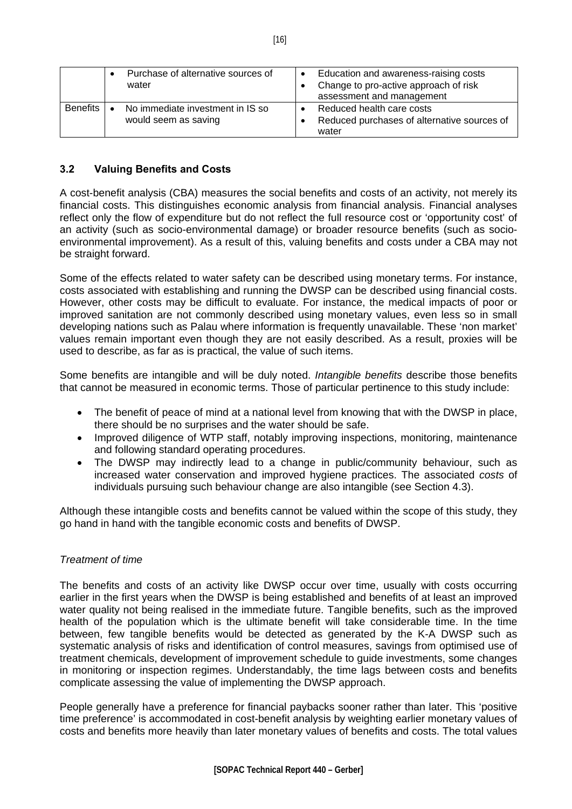|            | Purchase of alternative sources of<br>water              | $\bullet$ | Education and awareness-raising costs<br>Change to pro-active approach of risk<br>assessment and management |
|------------|----------------------------------------------------------|-----------|-------------------------------------------------------------------------------------------------------------|
| Benefits I | No immediate investment in IS so<br>would seem as saving |           | Reduced health care costs<br>Reduced purchases of alternative sources of<br>water                           |

### **3.2 Valuing Benefits and Costs**

A cost-benefit analysis (CBA) measures the social benefits and costs of an activity, not merely its financial costs. This distinguishes economic analysis from financial analysis. Financial analyses reflect only the flow of expenditure but do not reflect the full resource cost or 'opportunity cost' of an activity (such as socio-environmental damage) or broader resource benefits (such as socioenvironmental improvement). As a result of this, valuing benefits and costs under a CBA may not be straight forward.

Some of the effects related to water safety can be described using monetary terms. For instance, costs associated with establishing and running the DWSP can be described using financial costs. However, other costs may be difficult to evaluate. For instance, the medical impacts of poor or improved sanitation are not commonly described using monetary values, even less so in small developing nations such as Palau where information is frequently unavailable. These 'non market' values remain important even though they are not easily described. As a result, proxies will be used to describe, as far as is practical, the value of such items.

Some benefits are intangible and will be duly noted. *Intangible benefits* describe those benefits that cannot be measured in economic terms. Those of particular pertinence to this study include:

- The benefit of peace of mind at a national level from knowing that with the DWSP in place, there should be no surprises and the water should be safe.
- Improved diligence of WTP staff, notably improving inspections, monitoring, maintenance and following standard operating procedures.
- The DWSP may indirectly lead to a change in public/community behaviour, such as increased water conservation and improved hygiene practices. The associated *costs* of individuals pursuing such behaviour change are also intangible (see Section 4.3).

Although these intangible costs and benefits cannot be valued within the scope of this study, they go hand in hand with the tangible economic costs and benefits of DWSP.

### *Treatment of time*

The benefits and costs of an activity like DWSP occur over time, usually with costs occurring earlier in the first years when the DWSP is being established and benefits of at least an improved water quality not being realised in the immediate future. Tangible benefits, such as the improved health of the population which is the ultimate benefit will take considerable time. In the time between, few tangible benefits would be detected as generated by the K-A DWSP such as systematic analysis of risks and identification of control measures, savings from optimised use of treatment chemicals, development of improvement schedule to guide investments, some changes in monitoring or inspection regimes. Understandably, the time lags between costs and benefits complicate assessing the value of implementing the DWSP approach.

People generally have a preference for financial paybacks sooner rather than later. This 'positive time preference' is accommodated in cost-benefit analysis by weighting earlier monetary values of costs and benefits more heavily than later monetary values of benefits and costs. The total values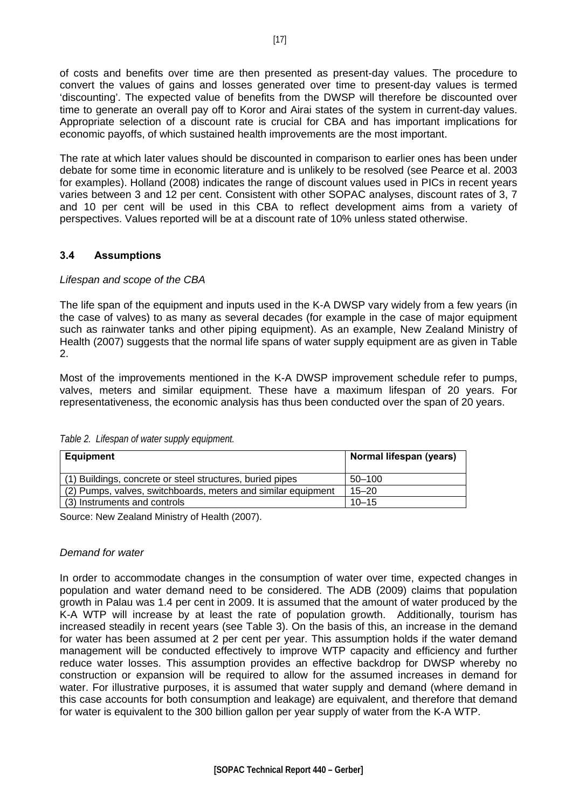<span id="page-16-0"></span>of costs and benefits over time are then presented as present-day values. The procedure to convert the values of gains and losses generated over time to present-day values is termed 'discounting'. The expected value of benefits from the DWSP will therefore be discounted over time to generate an overall pay off to Koror and Airai states of the system in current-day values. Appropriate selection of a discount rate is crucial for CBA and has important implications for economic payoffs, of which sustained health improvements are the most important.

The rate at which later values should be discounted in comparison to earlier ones has been under debate for some time in economic literature and is unlikely to be resolved (see Pearce et al. 2003 for examples). Holland (2008) indicates the range of discount values used in PICs in recent years varies between 3 and 12 per cent. Consistent with other SOPAC analyses, discount rates of 3, 7 and 10 per cent will be used in this CBA to reflect development aims from a variety of perspectives. Values reported will be at a discount rate of 10% unless stated otherwise.

### **3.4 Assumptions**

#### *Lifespan and scope of the CBA*

The life span of the equipment and inputs used in the K-A DWSP vary widely from a few years (in the case of valves) to as many as several decades (for example in the case of major equipment such as rainwater tanks and other piping equipment). As an example, New Zealand Ministry of Health (2007) suggests that the normal life spans of water supply equipment are as given in Table 2.

Most of the improvements mentioned in the K-A DWSP improvement schedule refer to pumps, valves, meters and similar equipment. These have a maximum lifespan of 20 years. For representativeness, the economic analysis has thus been conducted over the span of 20 years.

| <b>Equipment</b>                                              | Normal lifespan (years) |
|---------------------------------------------------------------|-------------------------|
| (1) Buildings, concrete or steel structures, buried pipes     | $50 - 100$              |
| (2) Pumps, valves, switchboards, meters and similar equipment | $15 - 20$               |
| (3) Instruments and controls                                  | $10 - 15$               |

*Table 2. Lifespan of water supply equipment.* 

Source: New Zealand Ministry of Health (2007).

#### *Demand for water*

In order to accommodate changes in the consumption of water over time, expected changes in population and water demand need to be considered. The ADB (2009) claims that population growth in Palau was 1.4 per cent in 2009. It is assumed that the amount of water produced by the K-A WTP will increase by at least the rate of population growth. Additionally, tourism has increased steadily in recent years (see Table 3). On the basis of this, an increase in the demand for water has been assumed at 2 per cent per year. This assumption holds if the water demand management will be conducted effectively to improve WTP capacity and efficiency and further reduce water losses. This assumption provides an effective backdrop for DWSP whereby no construction or expansion will be required to allow for the assumed increases in demand for water. For illustrative purposes, it is assumed that water supply and demand (where demand in this case accounts for both consumption and leakage) are equivalent, and therefore that demand for water is equivalent to the 300 billion gallon per year supply of water from the K-A WTP.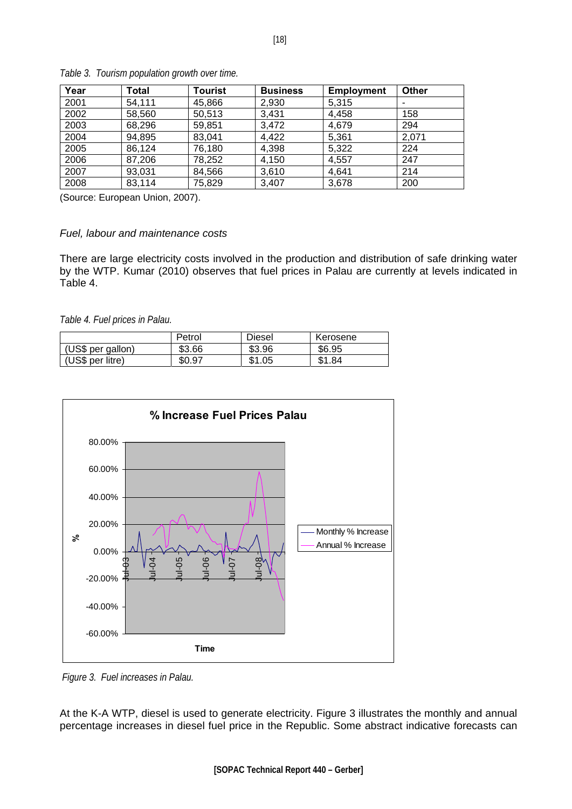| Year | <b>Total</b> | Tourist | <b>Business</b> | <b>Employment</b> | <b>Other</b> |
|------|--------------|---------|-----------------|-------------------|--------------|
| 2001 | 54,111       | 45,866  | 2,930           | 5,315             |              |
| 2002 | 58,560       | 50,513  | 3,431           | 4,458             | 158          |
| 2003 | 68,296       | 59,851  | 3,472           | 4,679             | 294          |
| 2004 | 94,895       | 83,041  | 4,422           | 5,361             | 2,071        |
| 2005 | 86,124       | 76,180  | 4,398           | 5,322             | 224          |
| 2006 | 87,206       | 78,252  | 4,150           | 4,557             | 247          |
| 2007 | 93,031       | 84,566  | 3,610           | 4.641             | 214          |
| 2008 | 83,114       | 75,829  | 3,407           | 3,678             | 200          |

*Table 3. Tourism population growth over time.* 

(Source: European Union, 2007).

### *Fuel, labour and maintenance costs*

There are large electricity costs involved in the production and distribution of safe drinking water by the WTP. Kumar (2010) observes that fuel prices in Palau are currently at levels indicated in Table 4.

*Table 4. Fuel prices in Palau.* 

|                   | Petrol | Diesel | Kerosene |
|-------------------|--------|--------|----------|
| (US\$ per gallon) | \$3.66 | \$3.96 | \$6.95   |
| (US\$ per litre)  | \$0.97 | \$1.05 | \$1.84   |



 *Figure 3. Fuel increases in Palau.* 

At the K-A WTP, diesel is used to generate electricity. Figure 3 illustrates the monthly and annual percentage increases in diesel fuel price in the Republic. Some abstract indicative forecasts can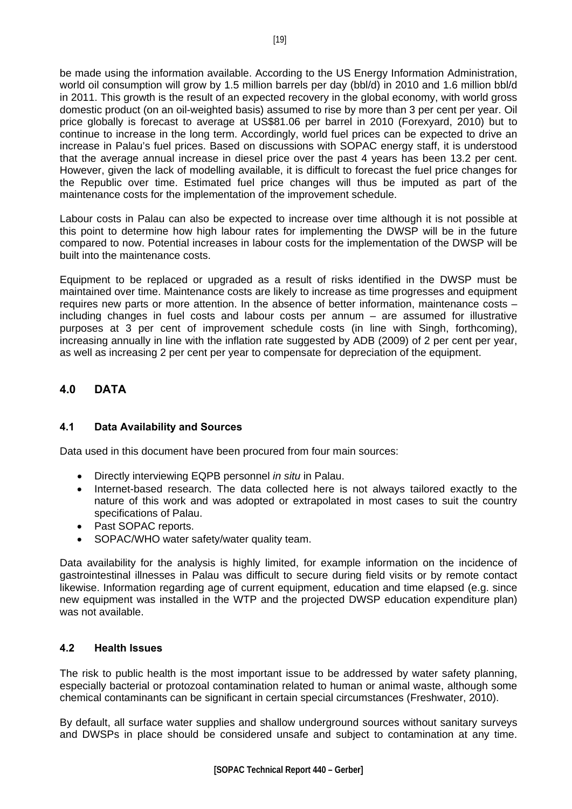<span id="page-18-0"></span>be made using the information available. According to the US Energy Information Administration, world oil consumption will grow by 1.5 million barrels per day (bbl/d) in 2010 and 1.6 million bbl/d in 2011. This growth is the result of an expected recovery in the global economy, with world gross domestic product (on an oil-weighted basis) assumed to rise by more than 3 per cent per year. Oil price globally is forecast to average at US\$81.06 per barrel in 2010 (Forexyard, 2010) but to continue to increase in the long term. Accordingly, world fuel prices can be expected to drive an increase in Palau's fuel prices. Based on discussions with SOPAC energy staff, it is understood that the average annual increase in diesel price over the past 4 years has been 13.2 per cent. However, given the lack of modelling available, it is difficult to forecast the fuel price changes for the Republic over time. Estimated fuel price changes will thus be imputed as part of the maintenance costs for the implementation of the improvement schedule.

Labour costs in Palau can also be expected to increase over time although it is not possible at this point to determine how high labour rates for implementing the DWSP will be in the future compared to now. Potential increases in labour costs for the implementation of the DWSP will be built into the maintenance costs.

Equipment to be replaced or upgraded as a result of risks identified in the DWSP must be maintained over time. Maintenance costs are likely to increase as time progresses and equipment requires new parts or more attention. In the absence of better information, maintenance costs – including changes in fuel costs and labour costs per annum – are assumed for illustrative purposes at 3 per cent of improvement schedule costs (in line with Singh, forthcoming), increasing annually in line with the inflation rate suggested by ADB (2009) of 2 per cent per year, as well as increasing 2 per cent per year to compensate for depreciation of the equipment.

### **4.0 DATA**

### **4.1 Data Availability and Sources**

Data used in this document have been procured from four main sources:

- Directly interviewing EQPB personnel *in situ* in Palau.
- Internet-based research. The data collected here is not always tailored exactly to the nature of this work and was adopted or extrapolated in most cases to suit the country specifications of Palau.
- Past SOPAC reports.
- SOPAC/WHO water safety/water quality team.

Data availability for the analysis is highly limited, for example information on the incidence of gastrointestinal illnesses in Palau was difficult to secure during field visits or by remote contact likewise. Information regarding age of current equipment, education and time elapsed (e.g. since new equipment was installed in the WTP and the projected DWSP education expenditure plan) was not available.

### **4.2 Health Issues**

The risk to public health is the most important issue to be addressed by water safety planning, especially bacterial or protozoal contamination related to human or animal waste, although some chemical contaminants can be significant in certain special circumstances (Freshwater, 2010).

By default, all surface water supplies and shallow underground sources without sanitary surveys and DWSPs in place should be considered unsafe and subject to contamination at any time.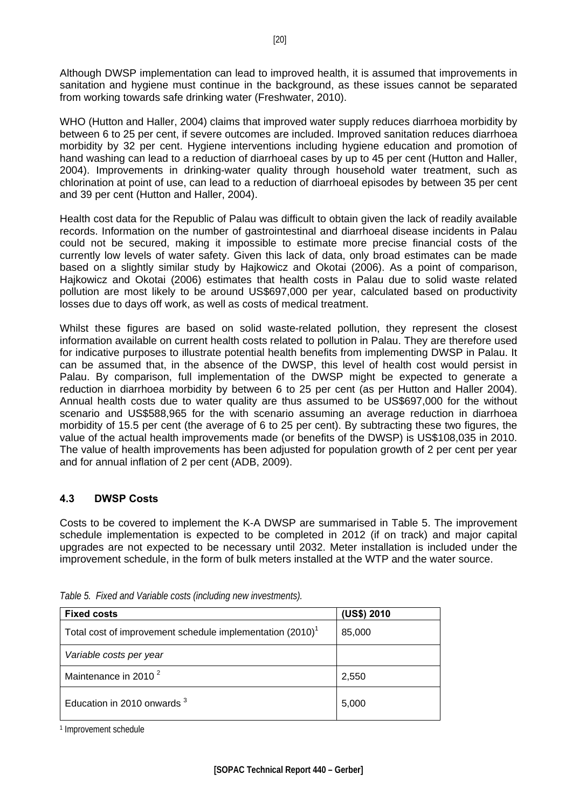<span id="page-19-0"></span>Although DWSP implementation can lead to improved health, it is assumed that improvements in sanitation and hygiene must continue in the background, as these issues cannot be separated from working towards safe drinking water (Freshwater, 2010).

WHO (Hutton and Haller, 2004) claims that improved water supply reduces diarrhoea morbidity by between 6 to 25 per cent, if severe outcomes are included. Improved sanitation reduces diarrhoea morbidity by 32 per cent. Hygiene interventions including hygiene education and promotion of hand washing can lead to a reduction of diarrhoeal cases by up to 45 per cent (Hutton and Haller, 2004). Improvements in drinking-water quality through household water treatment, such as chlorination at point of use, can lead to a reduction of diarrhoeal episodes by between 35 per cent and 39 per cent (Hutton and Haller, 2004).

Health cost data for the Republic of Palau was difficult to obtain given the lack of readily available records. Information on the number of gastrointestinal and diarrhoeal disease incidents in Palau could not be secured, making it impossible to estimate more precise financial costs of the currently low levels of water safety. Given this lack of data, only broad estimates can be made based on a slightly similar study by Hajkowicz and Okotai (2006). As a point of comparison, Hajkowicz and Okotai (2006) estimates that health costs in Palau due to solid waste related pollution are most likely to be around US\$697,000 per year, calculated based on productivity losses due to days off work, as well as costs of medical treatment.

Whilst these figures are based on solid waste-related pollution, they represent the closest information available on current health costs related to pollution in Palau. They are therefore used for indicative purposes to illustrate potential health benefits from implementing DWSP in Palau. It can be assumed that, in the absence of the DWSP, this level of health cost would persist in Palau. By comparison, full implementation of the DWSP might be expected to generate a reduction in diarrhoea morbidity by between 6 to 25 per cent (as per Hutton and Haller 2004). Annual health costs due to water quality are thus assumed to be US\$697,000 for the without scenario and US\$588,965 for the with scenario assuming an average reduction in diarrhoea morbidity of 15.5 per cent (the average of 6 to 25 per cent). By subtracting these two figures, the value of the actual health improvements made (or benefits of the DWSP) is US\$108,035 in 2010. The value of health improvements has been adjusted for population growth of 2 per cent per year and for annual inflation of 2 per cent (ADB, 2009).

### **4.3 DWSP Costs**

Costs to be covered to implement the K-A DWSP are summarised in Table 5. The improvement schedule implementation is expected to be completed in 2012 (if on track) and major capital upgrades are not expected to be necessary until 2032. Meter installation is included under the improvement schedule, in the form of bulk meters installed at the WTP and the water source.

| <b>Fixed costs</b>                                                    | (US\$) 2010 |
|-----------------------------------------------------------------------|-------------|
| Total cost of improvement schedule implementation (2010) <sup>1</sup> | 85,000      |
| Variable costs per year                                               |             |
| Maintenance in 2010 <sup>2</sup>                                      | 2,550       |
| Education in 2010 onwards <sup>3</sup>                                | 5,000       |

*Table 5. Fixed and Variable costs (including new investments).* 

1 Improvement schedule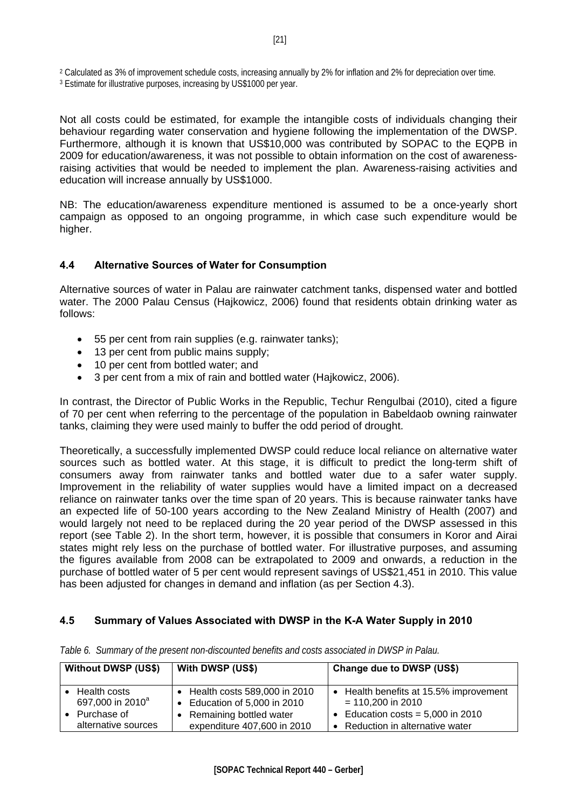<span id="page-20-0"></span>2 Calculated as 3% of improvement schedule costs, increasing annually by 2% for inflation and 2% for depreciation over time.

3 Estimate for illustrative purposes, increasing by US\$1000 per year.

Not all costs could be estimated, for example the intangible costs of individuals changing their behaviour regarding water conservation and hygiene following the implementation of the DWSP. Furthermore, although it is known that US\$10,000 was contributed by SOPAC to the EQPB in 2009 for education/awareness, it was not possible to obtain information on the cost of awarenessraising activities that would be needed to implement the plan. Awareness-raising activities and education will increase annually by US\$1000.

NB: The education/awareness expenditure mentioned is assumed to be a once-yearly short campaign as opposed to an ongoing programme, in which case such expenditure would be higher.

### **4.4 Alternative Sources of Water for Consumption**

Alternative sources of water in Palau are rainwater catchment tanks, dispensed water and bottled water. The 2000 Palau Census (Hajkowicz, 2006) found that residents obtain drinking water as follows:

- 55 per cent from rain supplies (e.g. rainwater tanks);
- 13 per cent from public mains supply;
- 10 per cent from bottled water: and
- 3 per cent from a mix of rain and bottled water (Hajkowicz, 2006).

In contrast, the Director of Public Works in the Republic, Techur Rengulbai (2010), cited a figure of 70 per cent when referring to the percentage of the population in Babeldaob owning rainwater tanks, claiming they were used mainly to buffer the odd period of drought.

Theoretically, a successfully implemented DWSP could reduce local reliance on alternative water sources such as bottled water. At this stage, it is difficult to predict the long-term shift of consumers away from rainwater tanks and bottled water due to a safer water supply. Improvement in the reliability of water supplies would have a limited impact on a decreased reliance on rainwater tanks over the time span of 20 years. This is because rainwater tanks have an expected life of 50-100 years according to the New Zealand Ministry of Health (2007) and would largely not need to be replaced during the 20 year period of the DWSP assessed in this report (see Table 2). In the short term, however, it is possible that consumers in Koror and Airai states might rely less on the purchase of bottled water. For illustrative purposes, and assuming the figures available from 2008 can be extrapolated to 2009 and onwards, a reduction in the purchase of bottled water of 5 per cent would represent savings of US\$21,451 in 2010. This value has been adjusted for changes in demand and inflation (as per Section 4.3).

### **4.5 Summary of Values Associated with DWSP in the K-A Water Supply in 2010**

| <b>Without DWSP (US\$)</b>   | With DWSP (US\$)             | Change due to DWSP (US\$)              |  |
|------------------------------|------------------------------|----------------------------------------|--|
| Health costs                 | Health costs 589,000 in 2010 | • Health benefits at 15.5% improvement |  |
| 697,000 in 2010 <sup>a</sup> | Education of 5,000 in 2010   | $= 110,200$ in 2010                    |  |
| Purchase of                  | Remaining bottled water      | Education costs = $5,000$ in 2010      |  |
| alternative sources          | expenditure 407,600 in 2010  | • Reduction in alternative water       |  |

*Table 6. Summary of the present non-discounted benefits and costs associated in DWSP in Palau.*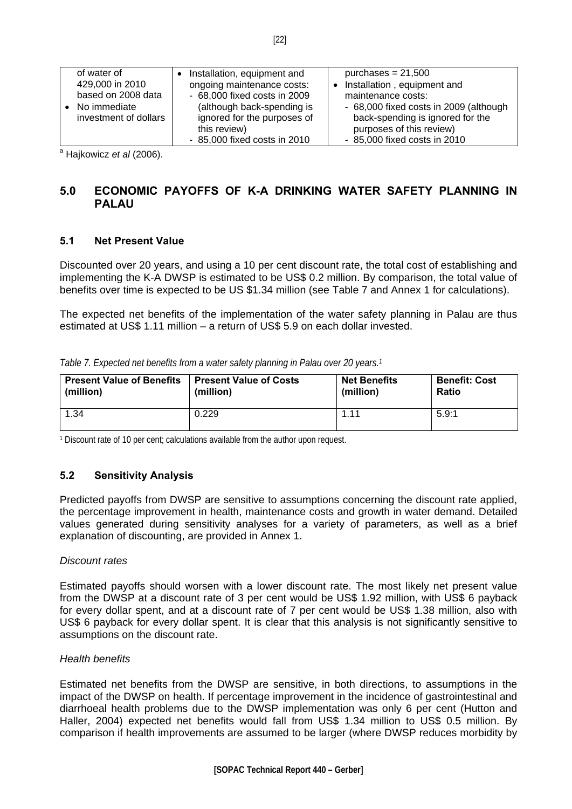<span id="page-21-0"></span>

| of water of<br>429,000 in 2010<br>based on 2008 data<br>No immediate<br>investment of dollars | Installation, equipment and<br>ongoing maintenance costs:<br>- 68,000 fixed costs in 2009<br>(although back-spending is<br>ignored for the purposes of | purchases = $21,500$<br>Installation, equipment and<br>$\bullet$<br>maintenance costs:<br>- 68,000 fixed costs in 2009 (although<br>back-spending is ignored for the |
|-----------------------------------------------------------------------------------------------|--------------------------------------------------------------------------------------------------------------------------------------------------------|----------------------------------------------------------------------------------------------------------------------------------------------------------------------|
|                                                                                               | this review)                                                                                                                                           | purposes of this review)                                                                                                                                             |
|                                                                                               | - 85,000 fixed costs in 2010                                                                                                                           | - 85,000 fixed costs in 2010                                                                                                                                         |

a Hajkowicz *et al* (2006).

### **5.0 ECONOMIC PAYOFFS OF K-A DRINKING WATER SAFETY PLANNING IN PALAU**

### **5.1 Net Present Value**

Discounted over 20 years, and using a 10 per cent discount rate, the total cost of establishing and implementing the K-A DWSP is estimated to be US\$ 0.2 million. By comparison, the total value of benefits over time is expected to be US \$1.34 million (see Table 7 and Annex 1 for calculations).

The expected net benefits of the implementation of the water safety planning in Palau are thus estimated at US\$ 1.11 million – a return of US\$ 5.9 on each dollar invested.

| Table 7. Expected net benefits from a water safety planning in Palau over 20 years. <sup>1</sup> |  |  |  |  |  |  |  |  |
|--------------------------------------------------------------------------------------------------|--|--|--|--|--|--|--|--|
|--------------------------------------------------------------------------------------------------|--|--|--|--|--|--|--|--|

| <b>Present Value of Benefits</b> | <b>Present Value of Costs</b> | <b>Net Benefits</b> | <b>Benefit: Cost</b> |
|----------------------------------|-------------------------------|---------------------|----------------------|
| (million)                        | (million)                     | (million)           | <b>Ratio</b>         |
| 1.34                             | 0.229                         | 1.11                | 5.9:1                |

1 Discount rate of 10 per cent; calculations available from the author upon request.

### **5.2 Sensitivity Analysis**

Predicted payoffs from DWSP are sensitive to assumptions concerning the discount rate applied, the percentage improvement in health, maintenance costs and growth in water demand. Detailed values generated during sensitivity analyses for a variety of parameters, as well as a brief explanation of discounting, are provided in Annex 1.

#### *Discount rates*

Estimated payoffs should worsen with a lower discount rate. The most likely net present value from the DWSP at a discount rate of 3 per cent would be US\$ 1.92 million, with US\$ 6 payback for every dollar spent, and at a discount rate of 7 per cent would be US\$ 1.38 million, also with US\$ 6 payback for every dollar spent. It is clear that this analysis is not significantly sensitive to assumptions on the discount rate.

#### *Health benefits*

Estimated net benefits from the DWSP are sensitive, in both directions, to assumptions in the impact of the DWSP on health. If percentage improvement in the incidence of gastrointestinal and diarrhoeal health problems due to the DWSP implementation was only 6 per cent (Hutton and Haller, 2004) expected net benefits would fall from US\$ 1.34 million to US\$ 0.5 million. By comparison if health improvements are assumed to be larger (where DWSP reduces morbidity by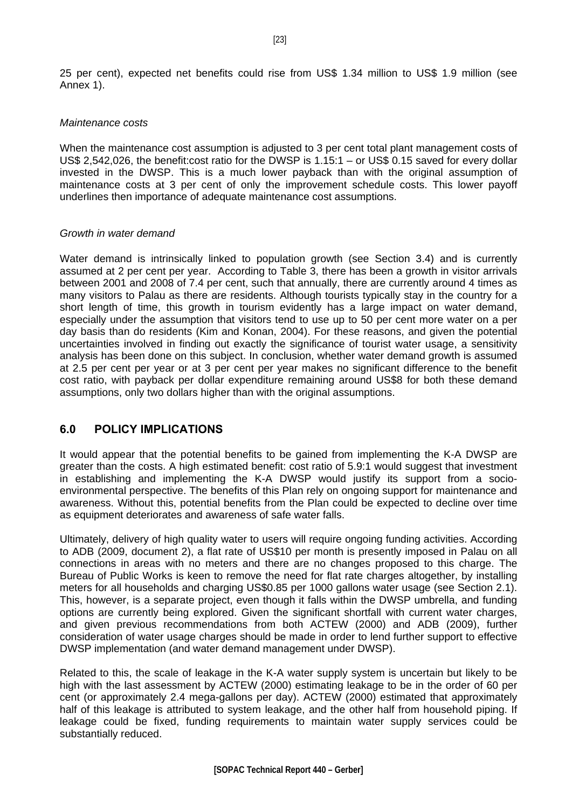<span id="page-22-0"></span>25 per cent), expected net benefits could rise from US\$ 1.34 million to US\$ 1.9 million (see Annex 1).

#### *Maintenance costs*

When the maintenance cost assumption is adjusted to 3 per cent total plant management costs of US\$ 2,542,026, the benefit:cost ratio for the DWSP is 1.15:1 – or US\$ 0.15 saved for every dollar invested in the DWSP. This is a much lower payback than with the original assumption of maintenance costs at 3 per cent of only the improvement schedule costs. This lower payoff underlines then importance of adequate maintenance cost assumptions.

#### *Growth in water demand*

Water demand is intrinsically linked to population growth (see Section 3.4) and is currently assumed at 2 per cent per year. According to Table 3, there has been a growth in visitor arrivals between 2001 and 2008 of 7.4 per cent, such that annually, there are currently around 4 times as many visitors to Palau as there are residents. Although tourists typically stay in the country for a short length of time, this growth in tourism evidently has a large impact on water demand, especially under the assumption that visitors tend to use up to 50 per cent more water on a per day basis than do residents (Kim and Konan, 2004). For these reasons, and given the potential uncertainties involved in finding out exactly the significance of tourist water usage, a sensitivity analysis has been done on this subject. In conclusion, whether water demand growth is assumed at 2.5 per cent per year or at 3 per cent per year makes no significant difference to the benefit cost ratio, with payback per dollar expenditure remaining around US\$8 for both these demand assumptions, only two dollars higher than with the original assumptions.

### **6.0 POLICY IMPLICATIONS**

It would appear that the potential benefits to be gained from implementing the K-A DWSP are greater than the costs. A high estimated benefit: cost ratio of 5.9:1 would suggest that investment in establishing and implementing the K-A DWSP would justify its support from a socioenvironmental perspective. The benefits of this Plan rely on ongoing support for maintenance and awareness. Without this, potential benefits from the Plan could be expected to decline over time as equipment deteriorates and awareness of safe water falls.

Ultimately, delivery of high quality water to users will require ongoing funding activities. According to ADB (2009, document 2), a flat rate of US\$10 per month is presently imposed in Palau on all connections in areas with no meters and there are no changes proposed to this charge. The Bureau of Public Works is keen to remove the need for flat rate charges altogether, by installing meters for all households and charging US\$0.85 per 1000 gallons water usage (see Section 2.1). This, however, is a separate project, even though it falls within the DWSP umbrella, and funding options are currently being explored. Given the significant shortfall with current water charges, and given previous recommendations from both ACTEW (2000) and ADB (2009), further consideration of water usage charges should be made in order to lend further support to effective DWSP implementation (and water demand management under DWSP).

Related to this, the scale of leakage in the K-A water supply system is uncertain but likely to be high with the last assessment by ACTEW (2000) estimating leakage to be in the order of 60 per cent (or approximately 2.4 mega-gallons per day). ACTEW (2000) estimated that approximately half of this leakage is attributed to system leakage, and the other half from household piping. If leakage could be fixed, funding requirements to maintain water supply services could be substantially reduced.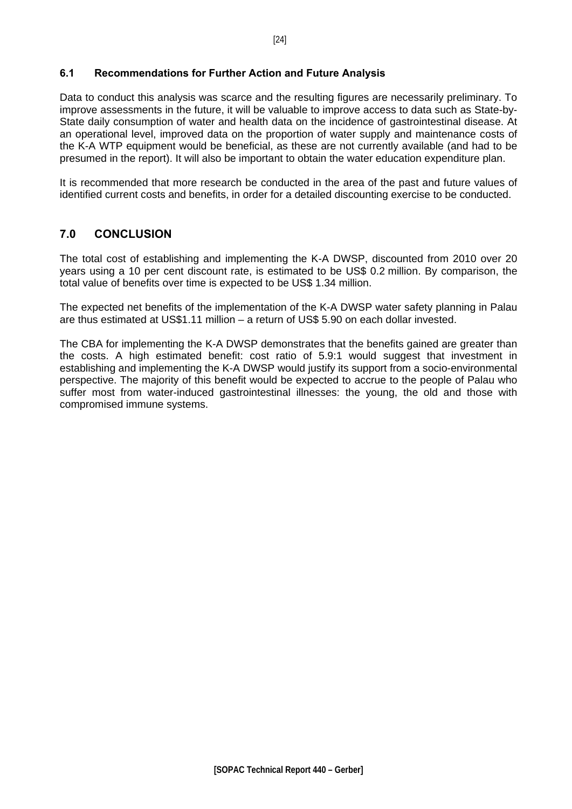#### <span id="page-23-0"></span>**6.1 Recommendations for Further Action and Future Analysis**

Data to conduct this analysis was scarce and the resulting figures are necessarily preliminary. To improve assessments in the future, it will be valuable to improve access to data such as State-by-State daily consumption of water and health data on the incidence of gastrointestinal disease. At an operational level, improved data on the proportion of water supply and maintenance costs of the K-A WTP equipment would be beneficial, as these are not currently available (and had to be presumed in the report). It will also be important to obtain the water education expenditure plan.

It is recommended that more research be conducted in the area of the past and future values of identified current costs and benefits, in order for a detailed discounting exercise to be conducted.

### **7.0 CONCLUSION**

The total cost of establishing and implementing the K-A DWSP, discounted from 2010 over 20 years using a 10 per cent discount rate, is estimated to be US\$ 0.2 million. By comparison, the total value of benefits over time is expected to be US\$ 1.34 million.

The expected net benefits of the implementation of the K-A DWSP water safety planning in Palau are thus estimated at US\$1.11 million – a return of US\$ 5.90 on each dollar invested.

The CBA for implementing the K-A DWSP demonstrates that the benefits gained are greater than the costs. A high estimated benefit: cost ratio of 5.9:1 would suggest that investment in establishing and implementing the K-A DWSP would justify its support from a socio-environmental perspective. The majority of this benefit would be expected to accrue to the people of Palau who suffer most from water-induced gastrointestinal illnesses: the young, the old and those with compromised immune systems.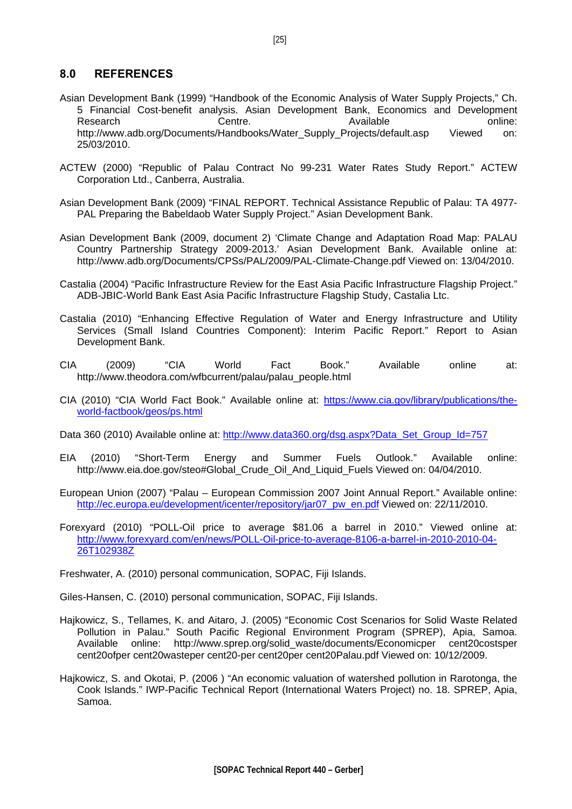### <span id="page-24-0"></span>**8.0 REFERENCES**

- Asian Development Bank (1999) "Handbook of the Economic Analysis of Water Supply Projects," Ch. 5 Financial Cost-benefit analysis. Asian Development Bank, Economics and Development Research Centre. Centre. Available online: [http://www.adb.org/Documents/Handbooks/Water\\_Supply\\_Projects/default.asp](http://www.adb.org/Documents/Handbooks/Water_Supply_Projects/default.asp) Viewed on: 25/03/2010.
- ACTEW (2000) "Republic of Palau Contract No 99-231 Water Rates Study Report." ACTEW Corporation Ltd., Canberra, Australia.
- Asian Development Bank (2009) "FINAL REPORT. Technical Assistance Republic of Palau: TA 4977- PAL Preparing the Babeldaob Water Supply Project." Asian Development Bank.
- Asian Development Bank (2009, document 2) 'Climate Change and Adaptation Road Map: PALAU Country Partnership Strategy 2009-2013.' Asian Development Bank. Available online at: <http://www.adb.org/Documents/CPSs/PAL/2009/PAL-Climate-Change.pdf> Viewed on: 13/04/2010.
- Castalia (2004) "Pacific Infrastructure Review for the East Asia Pacific Infrastructure Flagship Project." ADB-JBIC-World Bank East Asia Pacific Infrastructure Flagship Study, Castalia Ltc.
- Castalia (2010) "Enhancing Effective Regulation of Water and Energy Infrastructure and Utility Services (Small Island Countries Component): Interim Pacific Report." Report to Asian Development Bank.
- CIA (2009) "CIA World Fact Book." Available online at: [http://www.theodora.com/wfbcurrent/palau/palau\\_people.html](http://www.theodora.com/wfbcurrent/palau/palau_people.html)
- CIA (2010) "CIA World Fact Book." Available online at: [https://www.cia.gov/library/publications/the](https://www.cia.gov/library/publications/the-world-factbook/geos/ps.html)[world-factbook/geos/ps.html](https://www.cia.gov/library/publications/the-world-factbook/geos/ps.html)
- Data 360 (2010) Available online at: http://www.data360.org/dsg.aspx?Data\_Set\_Group\_Id=757
- EIA (2010) "Short-Term Energy and Summer Fuels Outlook." Available online: [http://www.eia.doe.gov/steo#Global\\_Crude\\_Oil\\_And\\_Liquid\\_Fuels](http://www.eia.doe.gov/steo#Global_Crude_Oil_And_Liquid_Fuels) Viewed on: 04/04/2010.
- European Union (2007) "Palau European Commission 2007 Joint Annual Report." Available online: [http://ec.europa.eu/development/icenter/repository/jar07\\_pw\\_en.pdf](http://ec.europa.eu/development/icenter/repository/jar07_pw_en.pdf) Viewed on: 22/11/2010.
- Forexyard (2010) "POLL-Oil price to average \$81.06 a barrel in 2010." Viewed online at: [http://www.forexyard.com/en/news/POLL-Oil-price-to-average-8106-a-barrel-in-2010-2010-04-](http://www.forexyard.com/en/news/POLL-Oil-price-to-average-8106-a-barrel-in-2010-2010-04-26T102938Z) [26T102938Z](http://www.forexyard.com/en/news/POLL-Oil-price-to-average-8106-a-barrel-in-2010-2010-04-26T102938Z)

Freshwater, A. (2010) personal communication, SOPAC, Fiji Islands.

Giles-Hansen, C. (2010) personal communication, SOPAC, Fiji Islands.

- Hajkowicz, S., Tellames, K. and Aitaro, J. (2005) "Economic Cost Scenarios for Solid Waste Related Pollution in Palau." South Pacific Regional Environment Program (SPREP), Apia, Samoa. Available online: [http://www.sprep.org/solid\\_waste/documents/Economicper cent20costsper](http://www.sprep.org/solid_waste/documents/Economic%20costs%20of%20waste%20-%20%20Palau.pdf)  [cent20ofper cent20wasteper cent20-per cent20per cent20Palau.pdf](http://www.sprep.org/solid_waste/documents/Economic%20costs%20of%20waste%20-%20%20Palau.pdf) Viewed on: 10/12/2009.
- Hajkowicz, S. and Okotai, P. (2006 ) "An economic valuation of watershed pollution in Rarotonga, the Cook Islands." IWP-Pacific Technical Report (International Waters Project) no. 18. SPREP, Apia, Samoa.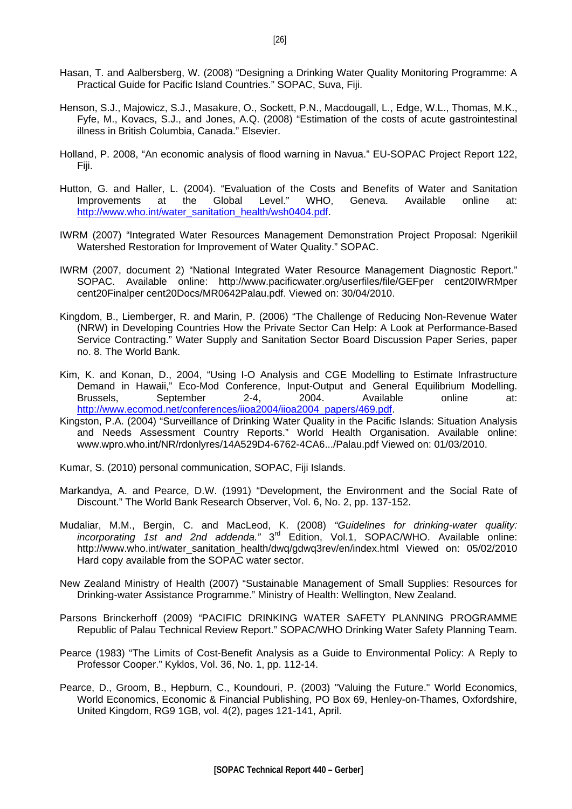- Hasan, T. and Aalbersberg, W. (2008) "Designing a Drinking Water Quality Monitoring Programme: A Practical Guide for Pacific Island Countries." SOPAC, Suva, Fiji.
- Henson, S.J., Majowicz, S.J., Masakure, O., Sockett, P.N., Macdougall, L., Edge, W.L., Thomas, M.K., Fyfe, M., Kovacs, S.J., and Jones, A.Q. (2008) "Estimation of the costs of acute gastrointestinal illness in British Columbia, Canada." Elsevier.
- Holland, P. 2008, "An economic analysis of flood warning in Navua." EU-SOPAC Project Report 122, Fiji.
- Hutton, G. and Haller, L. (2004). "Evaluation of the Costs and Benefits of Water and Sanitation Improvements at the Global Level." WHO, Geneva. Available online at: [http://www.who.int/water\\_sanitation\\_health/wsh0404.pdf.](http://www.who.int/water_sanitation_health/wsh0404.pdf)
- IWRM (2007) "Integrated Water Resources Management Demonstration Project Proposal: Ngerikiil Watershed Restoration for Improvement of Water Quality." SOPAC.
- IWRM (2007, document 2) "National Integrated Water Resource Management Diagnostic Report." SOPAC. Available online: [http://www.pacificwater.org/userfiles/file/GEFper cent20IWRMper](http://www.pacificwater.org/userfiles/file/GEF%20IWRM%20Final%20Docs/MR0642Palau.pdf)  [cent20Finalper cent20Docs/MR0642Palau.pdf](http://www.pacificwater.org/userfiles/file/GEF%20IWRM%20Final%20Docs/MR0642Palau.pdf). Viewed on: 30/04/2010.
- Kingdom, B., Liemberger, R. and Marin, P. (2006) "The Challenge of Reducing Non-Revenue Water (NRW) in Developing Countries How the Private Sector Can Help: A Look at Performance-Based Service Contracting." Water Supply and Sanitation Sector Board Discussion Paper Series, paper no. 8. The World Bank.
- Kim, K. and Konan, D., 2004, "Using I-O Analysis and CGE Modelling to Estimate Infrastructure Demand in Hawaii," Eco-Mod Conference, Input-Output and General Equilibrium Modelling. Brussels, September 2-4, 2004. Available online at: [http://www.ecomod.net/conferences/iioa2004/iioa2004\\_papers/469.pdf](http://www.ecomod.net/conferences/iioa2004/iioa2004_papers/469.pdf).
- Kingston, P.A. (2004) "Surveillance of Drinking Water Quality in the Pacific Islands: Situation Analysis and Needs Assessment Country Reports." World Health Organisation. Available online: [www.wpro.who.int/NR/rdonlyres/14A529D4-6762-4CA6.../Palau.pdf](http://www.wpro.who.int/NR/rdonlyres/14A529D4-6762-4CA6.../Palau.pdf) Viewed on: 01/03/2010.
- Kumar, S. (2010) personal communication, SOPAC, Fiji Islands.
- Markandya, A. and Pearce, D.W. (1991) "Development, the Environment and the Social Rate of Discount." The World Bank Research Observer, Vol. 6, No. 2, pp. 137-152.
- Mudaliar, M.M., Bergin, C. and MacLeod, K. (2008) *"Guidelines for drinking-water quality: incorporating 1st and 2nd addenda."* 3rd Edition, Vol.1, SOPAC/WHO. Available online: [http://www.who.int/water\\_sanitation\\_health/dwq/gdwq3rev/en/index.html](http://www.who.int/water_sanitation_health/dwq/gdwq3rev/en/index.html) Viewed on: 05/02/2010 Hard copy available from the SOPAC water sector.
- New Zealand Ministry of Health (2007) "Sustainable Management of Small Supplies: Resources for Drinking-water Assistance Programme." Ministry of Health: Wellington, New Zealand.
- Parsons Brinckerhoff (2009) "PACIFIC DRINKING WATER SAFETY PLANNING PROGRAMME Republic of Palau Technical Review Report." SOPAC/WHO Drinking Water Safety Planning Team.
- Pearce (1983) "[The Limits of Cost-Benefit Analysis as a Guide to Environmental Policy: A Reply to](http://econpapers.repec.org/article/blakyklos/v_3a36_3ay_3a1983_3ai_3a1_3ap_3a112-14.htm)  [Professor Cooper](http://econpapers.repec.org/article/blakyklos/v_3a36_3ay_3a1983_3ai_3a1_3ap_3a112-14.htm)." Kyklos, Vol. 36, No. 1, pp. 112-14.
- Pearce, D., Groom, B., Hepburn, C., Koundouri, P. (2003) ["Valuing the Future](http://ideas.repec.org/a/wej/wldecn/141.html)." [World Economics,](http://ideas.repec.org/s/wej/wldecn.html) World Economics, Economic & Financial Publishing, PO Box 69, Henley-on-Thames, Oxfordshire, United Kingdom, RG9 1GB, vol. 4(2), pages 121-141, April.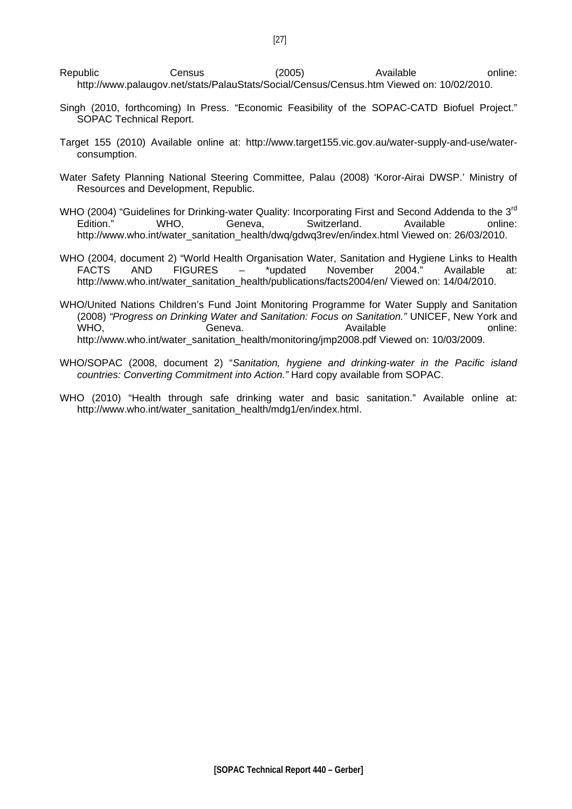- Republic Census (2005) Available online: <http://www.palaugov.net/stats/PalauStats/Social/Census/Census.htm> Viewed on: 10/02/2010.
- Singh (2010, forthcoming) In Press. "Economic Feasibility of the SOPAC-CATD Biofuel Project." SOPAC Technical Report.
- Target 155 (2010) Available online at: http://www.target155.vic.gov.au/water-supply-and-use/waterconsumption.
- Water Safety Planning National Steering Committee, Palau (2008) 'Koror-Airai DWSP.' Ministry of Resources and Development, Republic.
- WHO (2004) "Guidelines for Drinking-water Quality: Incorporating First and Second Addenda to the 3<sup>rd</sup> Edition." WHO, Geneva, Switzerland. Available online: [http://www.who.int/water\\_sanitation\\_health/dwq/gdwq3rev/en/index.html](http://www.who.int/water_sanitation_health/dwq/gdwq3rev/en/index.html) Viewed on: 26/03/2010.
- WHO (2004, document 2) "World Health Organisation Water, Sanitation and Hygiene Links to Health FACTS AND FIGURES – \*updated November 2004." Available at: [http://www.who.int/water\\_sanitation\\_health/publications/facts2004/en/](http://www.who.int/water_sanitation_health/publications/facts2004/en/) Viewed on: 14/04/2010.
- WHO/United Nations Children's Fund Joint Monitoring Programme for Water Supply and Sanitation (2008) *"Progress on Drinking Water and Sanitation: Focus on Sanitation."* UNICEF, New York and WHO, Geneva. Contains the Senside online: [http://www.who.int/water\\_sanitation\\_health/monitoring/jmp2008.pdf](http://www.who.int/water_sanitation_health/monitoring/jmp2008.pdf) Viewed on: 10/03/2009.
- WHO/SOPAC (2008, document 2) "*Sanitation, hygiene and drinking-water in the Pacific island countries: Converting Commitment into Action."* Hard copy available from SOPAC.
- WHO (2010) "Health through safe drinking water and basic sanitation." Available online at: [http://www.who.int/water\\_sanitation\\_health/mdg1/en/index.html.](http://www.who.int/water_sanitation_health/mdg1/en/index.html)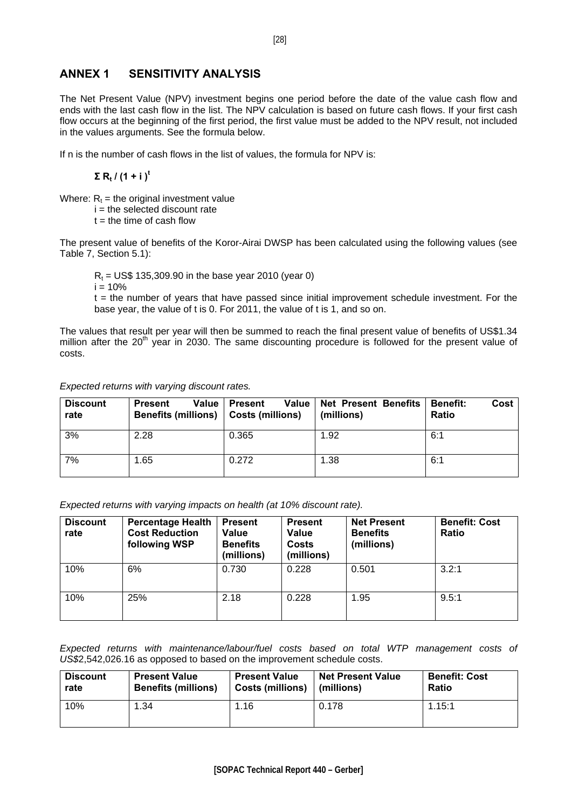### <span id="page-27-0"></span>**ANNEX 1 SENSITIVITY ANALYSIS**

The Net Present Value (NPV) investment begins one period before the date of the value cash flow and ends with the last cash flow in the list. The NPV calculation is based on future cash flows. If your first cash flow occurs at the beginning of the first period, the first value must be added to the NPV result, not included in the values arguments. See the formula below.

If n is the number of cash flows in the list of values, the formula for NPV is:

 $\Sigma$ **R**<sub>t</sub> / (1 + i)<sup>t</sup>

Where:  $R_t$  = the original investment value

 $i =$  the selected discount rate

 $t =$  the time of cash flow

The present value of benefits of the Koror-Airai DWSP has been calculated using the following values (see Table 7, Section 5.1):

 $R_t$  = US\$ 135,309.90 in the base year 2010 (year 0)

 $i = 10%$ 

 $t =$  the number of years that have passed since initial improvement schedule investment. For the base year, the value of t is 0. For 2011, the value of t is 1, and so on.

The values that result per year will then be summed to reach the final present value of benefits of US\$1.34 million after the  $20<sup>th</sup>$  year in 2030. The same discounting procedure is followed for the present value of costs.

| Expected returns with varying discount rates. |  |  |  |
|-----------------------------------------------|--|--|--|
|                                               |  |  |  |

| <b>Discount</b><br>rate | <b>Present</b><br>Benefits (millions)   Costs (millions) | Value   Present | Value   Net Present Benefits<br>(millions) | Cost<br><b>Benefit:</b><br><b>Ratio</b> |
|-------------------------|----------------------------------------------------------|-----------------|--------------------------------------------|-----------------------------------------|
| 3%                      | 2.28                                                     | 0.365           | 1.92                                       | 6:1                                     |
| 7%                      | 1.65                                                     | 0.272           | 1.38                                       | 6:1                                     |

*Expected returns with varying impacts on health (at 10% discount rate).*

| <b>Discount</b><br>rate | <b>Percentage Health</b><br><b>Cost Reduction</b><br>following WSP | <b>Present</b><br>Value<br><b>Benefits</b><br>(millions) | <b>Present</b><br>Value<br>Costs<br>(millions) | <b>Net Present</b><br><b>Benefits</b><br>(millions) | <b>Benefit: Cost</b><br><b>Ratio</b> |
|-------------------------|--------------------------------------------------------------------|----------------------------------------------------------|------------------------------------------------|-----------------------------------------------------|--------------------------------------|
| 10%                     | 6%                                                                 | 0.730                                                    | 0.228                                          | 0.501                                               | 3.2:1                                |
| 10%                     | 25%                                                                | 2.18                                                     | 0.228                                          | 1.95                                                | 9.5:1                                |

*Expected returns with maintenance/labour/fuel costs based on total WTP management costs of US\$*2,542,026.16 as opposed to based on the improvement schedule costs.

| <b>Discount</b> | <b>Present Value</b>       | <b>Present Value</b>    | <b>Net Present Value</b> | <b>Benefit: Cost</b> |
|-----------------|----------------------------|-------------------------|--------------------------|----------------------|
| rate            | <b>Benefits (millions)</b> | <b>Costs (millions)</b> | (millions)               | <b>Ratio</b>         |
| 10%             | .34                        | 1.16                    | 0.178                    | 1.15:1               |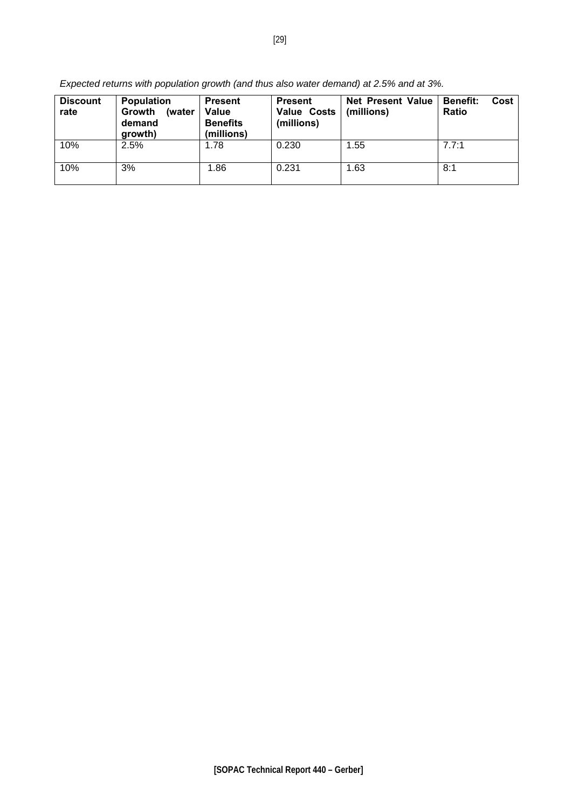| <b>Discount</b><br>rate | <b>Population</b><br><b>Growth</b><br>(water<br>demand<br>growth) | <b>Present</b><br>Value<br><b>Benefits</b><br>(millions) | <b>Present</b><br><b>Value Costs</b><br>(millions) | <b>Net Present Value</b><br>(millions) | <b>Benefit:</b><br>Cost<br><b>Ratio</b> |
|-------------------------|-------------------------------------------------------------------|----------------------------------------------------------|----------------------------------------------------|----------------------------------------|-----------------------------------------|
| 10%                     | 2.5%                                                              | 1.78                                                     | 0.230                                              | 1.55                                   | 7.7:1                                   |
| 10%                     | 3%                                                                | 1.86                                                     | 0.231                                              | 1.63                                   | 8:1                                     |

*Expected returns with population growth (and thus also water demand) at 2.5% and at 3%.*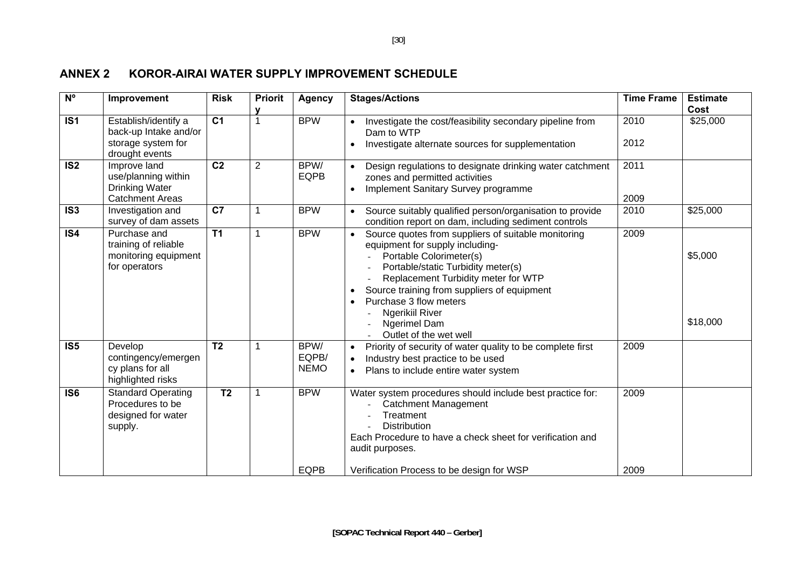### **ANNEX 2 KOROR-AIRAI WATER SUPPLY IMPROVEMENT SCHEDULE**

<span id="page-29-0"></span>

| N <sup>o</sup>   | Improvement                                                                            | <b>Risk</b>     | <b>Priorit</b> | <b>Agency</b>                | <b>Stages/Actions</b>                                                                                                                                                                                                                                                                                                                                           | <b>Time Frame</b> | <b>Estimate</b><br>Cost |
|------------------|----------------------------------------------------------------------------------------|-----------------|----------------|------------------------------|-----------------------------------------------------------------------------------------------------------------------------------------------------------------------------------------------------------------------------------------------------------------------------------------------------------------------------------------------------------------|-------------------|-------------------------|
| $\overline{1S1}$ | Establish/identify a<br>back-up Intake and/or<br>storage system for<br>drought events  | $\overline{C1}$ | 1              | <b>BPW</b>                   | Investigate the cost/feasibility secondary pipeline from<br>Dam to WTP<br>Investigate alternate sources for supplementation<br>$\bullet$                                                                                                                                                                                                                        | 2010<br>2012      | \$25,000                |
| $\overline{1S2}$ | Improve land<br>use/planning within<br><b>Drinking Water</b><br><b>Catchment Areas</b> | $\overline{C2}$ | $\overline{2}$ | BPW/<br><b>EQPB</b>          | Design regulations to designate drinking water catchment<br>zones and permitted activities<br>Implement Sanitary Survey programme                                                                                                                                                                                                                               | 2011<br>2009      |                         |
| $\overline{1S3}$ | Investigation and<br>survey of dam assets                                              | $\overline{C}$  |                | <b>BPW</b>                   | Source suitably qualified person/organisation to provide<br>condition report on dam, including sediment controls                                                                                                                                                                                                                                                | 2010              | \$25,000                |
| IS4              | Purchase and<br>training of reliable<br>monitoring equipment<br>for operators          | $\overline{11}$ | $\mathbf{1}$   | <b>BPW</b>                   | Source quotes from suppliers of suitable monitoring<br>equipment for supply including-<br>Portable Colorimeter(s)<br>Portable/static Turbidity meter(s)<br>Replacement Turbidity meter for WTP<br>Source training from suppliers of equipment<br>$\bullet$<br>Purchase 3 flow meters<br><b>Ngerikiil River</b><br><b>Ngerimel Dam</b><br>Outlet of the wet well | 2009              | \$5,000<br>\$18,000     |
| IS <sub>5</sub>  | Develop<br>contingency/emergen<br>cy plans for all<br>highlighted risks                | T <sub>2</sub>  | 1              | BPW/<br>EQPB/<br><b>NEMO</b> | Priority of security of water quality to be complete first<br>Industry best practice to be used<br>$\bullet$<br>Plans to include entire water system                                                                                                                                                                                                            | 2009              |                         |
| IS <sub>6</sub>  | <b>Standard Operating</b><br>Procedures to be<br>designed for water<br>supply.         | T <sub>2</sub>  | 1              | <b>BPW</b><br><b>EQPB</b>    | Water system procedures should include best practice for:<br><b>Catchment Management</b><br>Treatment<br><b>Distribution</b><br>Each Procedure to have a check sheet for verification and<br>audit purposes.<br>Verification Process to be design for WSP                                                                                                       | 2009<br>2009      |                         |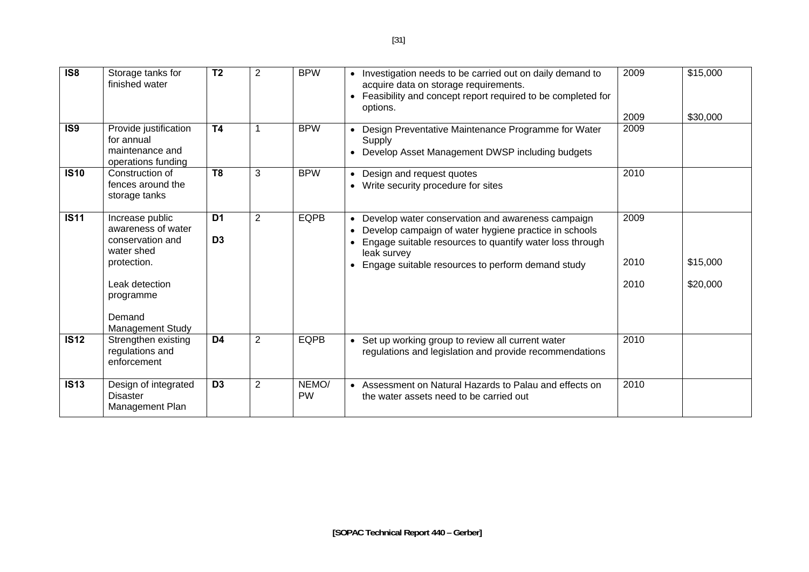| $\overline{1}$ S8 | Storage tanks for<br>finished water                                                                                                                 | $\overline{12}$                  | $\overline{2}$ | <b>BPW</b>         | Investigation needs to be carried out on daily demand to<br>acquire data on storage requirements.<br>Feasibility and concept report required to be completed for<br>$\bullet$<br>options.                                                               | 2009<br>2009         | \$15,000<br>\$30,000 |
|-------------------|-----------------------------------------------------------------------------------------------------------------------------------------------------|----------------------------------|----------------|--------------------|---------------------------------------------------------------------------------------------------------------------------------------------------------------------------------------------------------------------------------------------------------|----------------------|----------------------|
| IS9               | Provide justification<br>for annual<br>maintenance and<br>operations funding                                                                        | <b>T4</b>                        |                | <b>BPW</b>         | Design Preventative Maintenance Programme for Water<br>Supply<br>Develop Asset Management DWSP including budgets<br>$\bullet$                                                                                                                           | 2009                 |                      |
| <b>IS10</b>       | Construction of<br>fences around the<br>storage tanks                                                                                               | T <sub>8</sub>                   | 3              | <b>BPW</b>         | Design and request quotes<br>Write security procedure for sites<br>$\bullet$                                                                                                                                                                            | 2010                 |                      |
| <b>IS11</b>       | Increase public<br>awareness of water<br>conservation and<br>water shed<br>protection.<br>Leak detection<br>programme<br>Demand<br>Management Study | D <sub>1</sub><br>D <sub>3</sub> | $\overline{2}$ | <b>EQPB</b>        | Develop water conservation and awareness campaign<br>Develop campaign of water hygiene practice in schools<br>Engage suitable resources to quantify water loss through<br>leak survey<br>Engage suitable resources to perform demand study<br>$\bullet$ | 2009<br>2010<br>2010 | \$15,000<br>\$20,000 |
| IS12              | Strengthen existing<br>regulations and<br>enforcement                                                                                               | D <sub>4</sub>                   | $\overline{2}$ | <b>EQPB</b>        | Set up working group to review all current water<br>regulations and legislation and provide recommendations                                                                                                                                             | 2010                 |                      |
| <b>IS13</b>       | Design of integrated<br><b>Disaster</b><br>Management Plan                                                                                          | D <sub>3</sub>                   | $\overline{2}$ | NEMO/<br><b>PW</b> | • Assessment on Natural Hazards to Palau and effects on<br>the water assets need to be carried out                                                                                                                                                      | 2010                 |                      |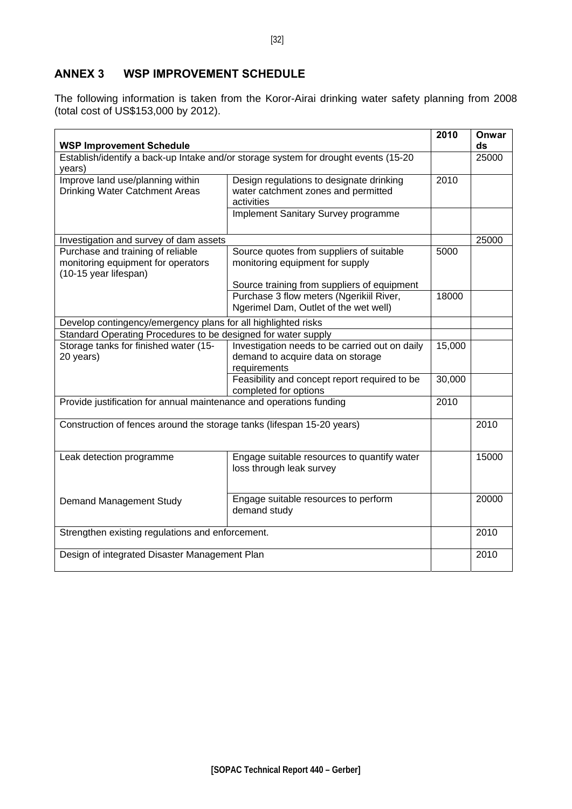### <span id="page-31-0"></span>**ANNEX 3 WSP IMPROVEMENT SCHEDULE**

The following information is taken from the Koror-Airai drinking water safety planning from 2008 (total cost of US\$153,000 by 2012).

| <b>WSP Improvement Schedule</b>                                                                  |                                                                                                                                  | 2010   | Onwar<br>ds |
|--------------------------------------------------------------------------------------------------|----------------------------------------------------------------------------------------------------------------------------------|--------|-------------|
| Establish/identify a back-up Intake and/or storage system for drought events (15-20<br>years)    |                                                                                                                                  | 25000  |             |
| Improve land use/planning within<br>Drinking Water Catchment Areas                               | Design regulations to designate drinking<br>water catchment zones and permitted<br>activities                                    | 2010   |             |
|                                                                                                  | <b>Implement Sanitary Survey programme</b>                                                                                       |        |             |
| Investigation and survey of dam assets                                                           |                                                                                                                                  |        | 25000       |
| Purchase and training of reliable<br>monitoring equipment for operators<br>(10-15 year lifespan) | Source quotes from suppliers of suitable<br>monitoring equipment for supply                                                      | 5000   |             |
|                                                                                                  | Source training from suppliers of equipment<br>Purchase 3 flow meters (Ngerikiil River,<br>Ngerimel Dam, Outlet of the wet well) | 18000  |             |
| Develop contingency/emergency plans for all highlighted risks                                    |                                                                                                                                  |        |             |
| Standard Operating Procedures to be designed for water supply                                    |                                                                                                                                  |        |             |
| Storage tanks for finished water (15-<br>20 years)                                               | Investigation needs to be carried out on daily<br>demand to acquire data on storage<br>requirements                              | 15,000 |             |
|                                                                                                  | Feasibility and concept report required to be<br>completed for options                                                           | 30,000 |             |
| Provide justification for annual maintenance and operations funding                              | 2010                                                                                                                             |        |             |
| Construction of fences around the storage tanks (lifespan 15-20 years)                           |                                                                                                                                  |        | 2010        |
| Leak detection programme                                                                         | Engage suitable resources to quantify water<br>loss through leak survey                                                          |        | 15000       |
| Demand Management Study                                                                          | Engage suitable resources to perform<br>demand study                                                                             |        | 20000       |
| Strengthen existing regulations and enforcement.                                                 |                                                                                                                                  |        | 2010        |
| Design of integrated Disaster Management Plan                                                    |                                                                                                                                  | 2010   |             |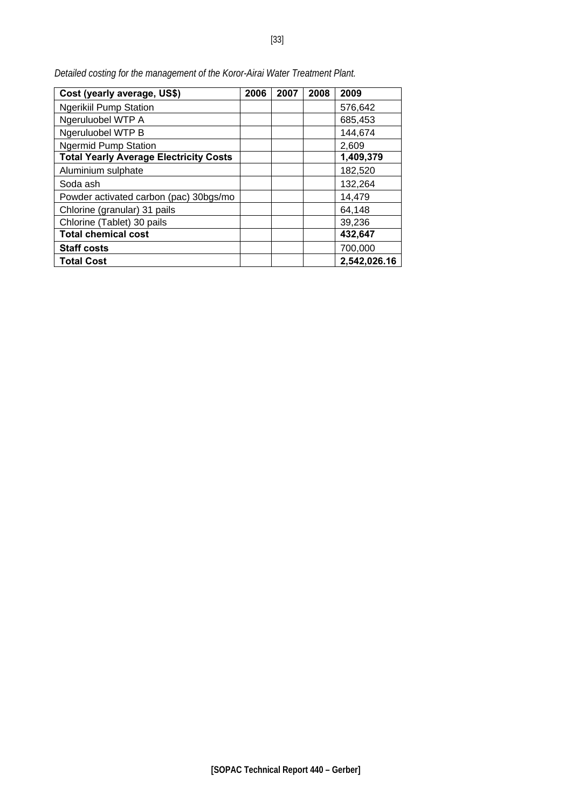| Cost (yearly average, US\$)                   | 2006 | 2007 | 2008 | 2009         |
|-----------------------------------------------|------|------|------|--------------|
| <b>Ngerikiil Pump Station</b>                 |      |      |      | 576,642      |
| Ngeruluobel WTP A                             |      |      |      | 685,453      |
| Ngeruluobel WTP B                             |      |      |      | 144,674      |
| <b>Ngermid Pump Station</b>                   |      |      |      | 2,609        |
| <b>Total Yearly Average Electricity Costs</b> |      |      |      | 1,409,379    |
| Aluminium sulphate                            |      |      |      | 182,520      |
| Soda ash                                      |      |      |      | 132,264      |
| Powder activated carbon (pac) 30bgs/mo        |      |      |      | 14,479       |
| Chlorine (granular) 31 pails                  |      |      |      | 64,148       |
| Chlorine (Tablet) 30 pails                    |      |      |      | 39,236       |
| <b>Total chemical cost</b>                    |      |      |      | 432,647      |
| <b>Staff costs</b>                            |      |      |      | 700,000      |
| <b>Total Cost</b>                             |      |      |      | 2,542,026.16 |

*Detailed costing for the management of the Koror-Airai Water Treatment Plant.*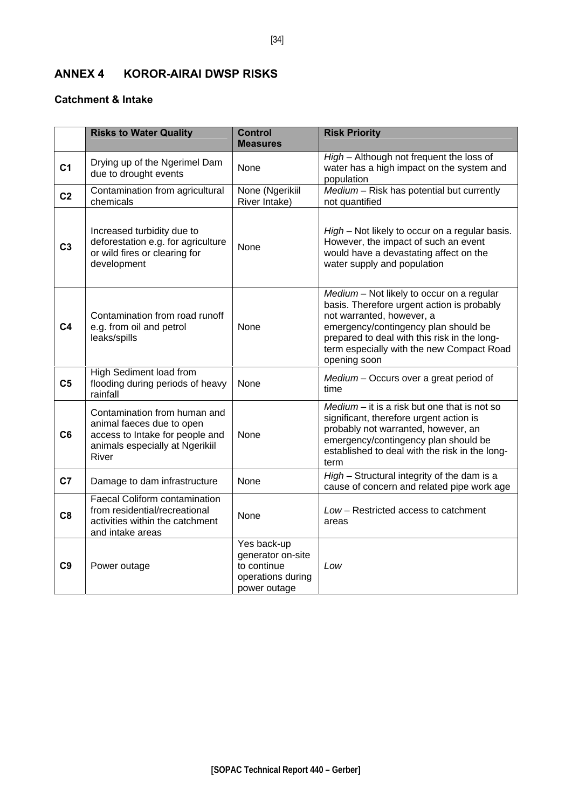### <span id="page-33-0"></span>**ANNEX 4 KOROR-AIRAI DWSP RISKS**

### **Catchment & Intake**

|                | <b>Risks to Water Quality</b>                                                                                                            | <b>Control</b><br><b>Measures</b>                                                    | <b>Risk Priority</b>                                                                                                                                                                                                                                                      |
|----------------|------------------------------------------------------------------------------------------------------------------------------------------|--------------------------------------------------------------------------------------|---------------------------------------------------------------------------------------------------------------------------------------------------------------------------------------------------------------------------------------------------------------------------|
| C <sub>1</sub> | Drying up of the Ngerimel Dam<br>due to drought events                                                                                   | None                                                                                 | High - Although not frequent the loss of<br>water has a high impact on the system and<br>population                                                                                                                                                                       |
| C <sub>2</sub> | Contamination from agricultural<br>chemicals                                                                                             | None (Ngerikiil<br>River Intake)                                                     | $Median - Risk$ has potential but currently<br>not quantified                                                                                                                                                                                                             |
| C <sub>3</sub> | Increased turbidity due to<br>deforestation e.g. for agriculture<br>or wild fires or clearing for<br>development                         | None                                                                                 | High - Not likely to occur on a regular basis.<br>However, the impact of such an event<br>would have a devastating affect on the<br>water supply and population                                                                                                           |
| C <sub>4</sub> | Contamination from road runoff<br>e.g. from oil and petrol<br>leaks/spills                                                               | None                                                                                 | Medium - Not likely to occur on a regular<br>basis. Therefore urgent action is probably<br>not warranted, however, a<br>emergency/contingency plan should be<br>prepared to deal with this risk in the long-<br>term especially with the new Compact Road<br>opening soon |
| C <sub>5</sub> | High Sediment load from<br>flooding during periods of heavy<br>rainfall                                                                  | None                                                                                 | Medium - Occurs over a great period of<br>time                                                                                                                                                                                                                            |
| C <sub>6</sub> | Contamination from human and<br>animal faeces due to open<br>access to Intake for people and<br>animals especially at Ngerikiil<br>River | None                                                                                 | $Median - it$ is a risk but one that is not so<br>significant, therefore urgent action is<br>probably not warranted, however, an<br>emergency/contingency plan should be<br>established to deal with the risk in the long-<br>term                                        |
| C <sub>7</sub> | Damage to dam infrastructure                                                                                                             | None                                                                                 | High - Structural integrity of the dam is a<br>cause of concern and related pipe work age                                                                                                                                                                                 |
| C <sub>8</sub> | <b>Faecal Coliform contamination</b><br>from residential/recreational<br>activities within the catchment<br>and intake areas             | None                                                                                 | Low - Restricted access to catchment<br>areas                                                                                                                                                                                                                             |
| C <sub>9</sub> | Power outage                                                                                                                             | Yes back-up<br>generator on-site<br>to continue<br>operations during<br>power outage | Low                                                                                                                                                                                                                                                                       |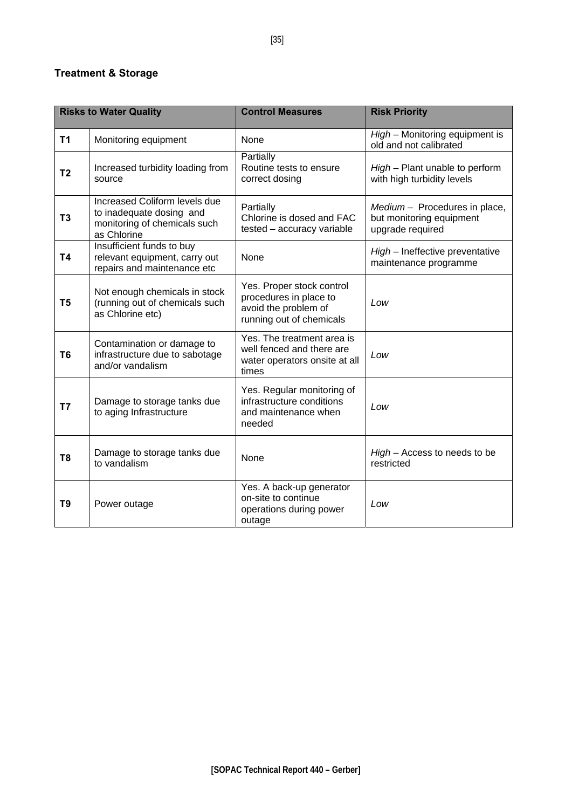### **Treatment & Storage**

|                | <b>Risks to Water Quality</b>                                                                            | <b>Control Measures</b>                                                                                 | <b>Risk Priority</b>                                                          |  |  |  |
|----------------|----------------------------------------------------------------------------------------------------------|---------------------------------------------------------------------------------------------------------|-------------------------------------------------------------------------------|--|--|--|
| T1             | Monitoring equipment                                                                                     | None                                                                                                    | High - Monitoring equipment is<br>old and not calibrated                      |  |  |  |
| T <sub>2</sub> | Increased turbidity loading from<br>source                                                               | Partially<br>Routine tests to ensure<br>correct dosing                                                  | High - Plant unable to perform<br>with high turbidity levels                  |  |  |  |
| T <sub>3</sub> | Increased Coliform levels due<br>to inadequate dosing and<br>monitoring of chemicals such<br>as Chlorine | Partially<br>Chlorine is dosed and FAC<br>tested - accuracy variable                                    | Medium - Procedures in place,<br>but monitoring equipment<br>upgrade required |  |  |  |
| <b>T4</b>      | Insufficient funds to buy<br>relevant equipment, carry out<br>repairs and maintenance etc                | None                                                                                                    | High - Ineffective preventative<br>maintenance programme                      |  |  |  |
| T <sub>5</sub> | Not enough chemicals in stock<br>(running out of chemicals such<br>as Chlorine etc)                      | Yes. Proper stock control<br>procedures in place to<br>avoid the problem of<br>running out of chemicals | Low                                                                           |  |  |  |
| T <sub>6</sub> | Contamination or damage to<br>infrastructure due to sabotage<br>and/or vandalism                         | Yes. The treatment area is<br>well fenced and there are<br>water operators onsite at all<br>times       | Low                                                                           |  |  |  |
| T7             | Damage to storage tanks due<br>to aging Infrastructure                                                   | Yes. Regular monitoring of<br>infrastructure conditions<br>and maintenance when<br>needed               | Low                                                                           |  |  |  |
| T8             | Damage to storage tanks due<br>to vandalism                                                              | None                                                                                                    | High - Access to needs to be<br>restricted                                    |  |  |  |
| T <sub>9</sub> | Power outage                                                                                             | Yes. A back-up generator<br>on-site to continue<br>operations during power<br>outage                    | Low                                                                           |  |  |  |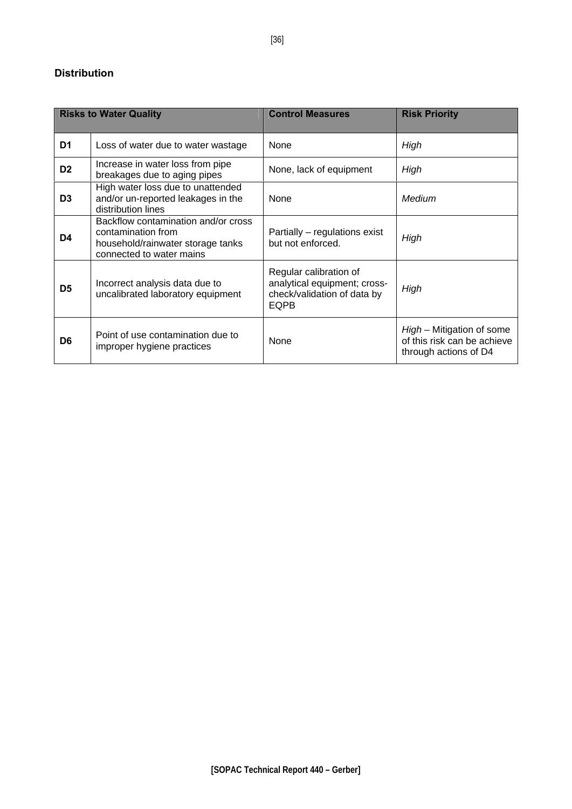### **Distribution**

|                | <b>Risks to Water Quality</b>                                                                                              | <b>Control Measures</b>                                                                              | <b>Risk Priority</b>                                                              |  |
|----------------|----------------------------------------------------------------------------------------------------------------------------|------------------------------------------------------------------------------------------------------|-----------------------------------------------------------------------------------|--|
| D <sub>1</sub> | Loss of water due to water wastage                                                                                         | None                                                                                                 | High                                                                              |  |
| D <sub>2</sub> | Increase in water loss from pipe<br>breakages due to aging pipes                                                           | None, lack of equipment                                                                              | High                                                                              |  |
| D <sub>3</sub> | High water loss due to unattended<br>and/or un-reported leakages in the<br>distribution lines                              | None                                                                                                 | Medium                                                                            |  |
| D4             | Backflow contamination and/or cross<br>contamination from<br>household/rainwater storage tanks<br>connected to water mains | Partially – regulations exist<br>but not enforced.                                                   | High                                                                              |  |
| D <sub>5</sub> | Incorrect analysis data due to<br>uncalibrated laboratory equipment                                                        | Regular calibration of<br>analytical equipment; cross-<br>check/validation of data by<br><b>EQPB</b> | High                                                                              |  |
| D <sub>6</sub> | Point of use contamination due to<br>improper hygiene practices                                                            | None                                                                                                 | High - Mitigation of some<br>of this risk can be achieve<br>through actions of D4 |  |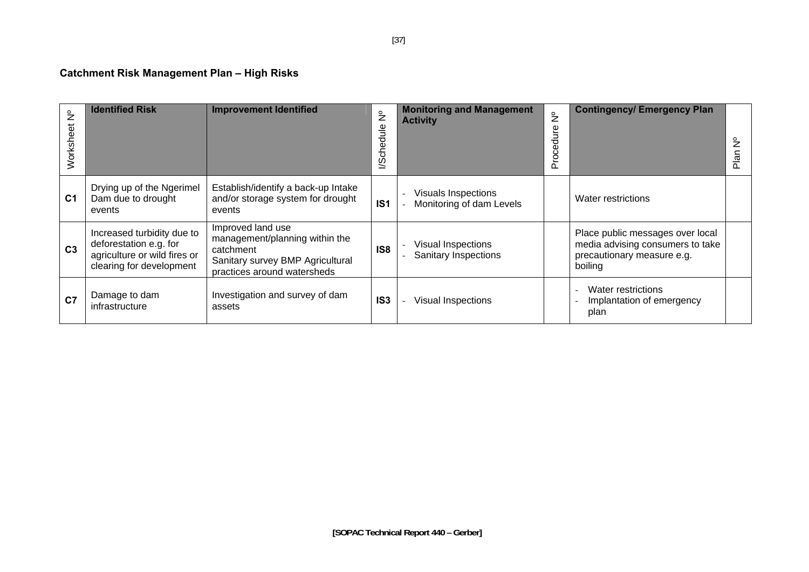# **Catchment Risk Management Plan – High Risks**

| $\frac{1}{2}$<br>đ<br>Workshe | <b>Identified Risk</b>                                                                                           | <b>Improvement Identified</b>                                                                                                       | $\frac{1}{2}$<br>dule<br>Φ<br>l/Sch | <b>Monitoring and Management</b><br><b>Activity</b> | $\frac{1}{2}$<br>e<br>Jir<br>ठ<br>Φ<br>č<br>$\Omega$ | <b>Contingency/ Emergency Plan</b>                                                                            | $\frac{6}{5}$<br>Plan |
|-------------------------------|------------------------------------------------------------------------------------------------------------------|-------------------------------------------------------------------------------------------------------------------------------------|-------------------------------------|-----------------------------------------------------|------------------------------------------------------|---------------------------------------------------------------------------------------------------------------|-----------------------|
| C <sub>1</sub>                | Drying up of the Ngerimel<br>Dam due to drought<br>events                                                        | Establish/identify a back-up Intake<br>and/or storage system for drought<br>events                                                  | IS <sub>1</sub>                     | Visuals Inspections<br>Monitoring of dam Levels     |                                                      | Water restrictions                                                                                            |                       |
| C <sub>3</sub>                | Increased turbidity due to<br>deforestation e.g. for<br>agriculture or wild fires or<br>clearing for development | Improved land use<br>management/planning within the<br>catchment<br>Sanitary survey BMP Agricultural<br>practices around watersheds | IS <sub>8</sub>                     | Visual Inspections<br><b>Sanitary Inspections</b>   |                                                      | Place public messages over local<br>media advising consumers to take<br>precautionary measure e.g.<br>boiling |                       |
| C <sub>7</sub>                | Damage to dam<br>infrastructure                                                                                  | Investigation and survey of dam<br>assets                                                                                           | IS <sub>3</sub>                     | <b>Visual Inspections</b>                           |                                                      | Water restrictions<br>Implantation of emergency<br>plan                                                       |                       |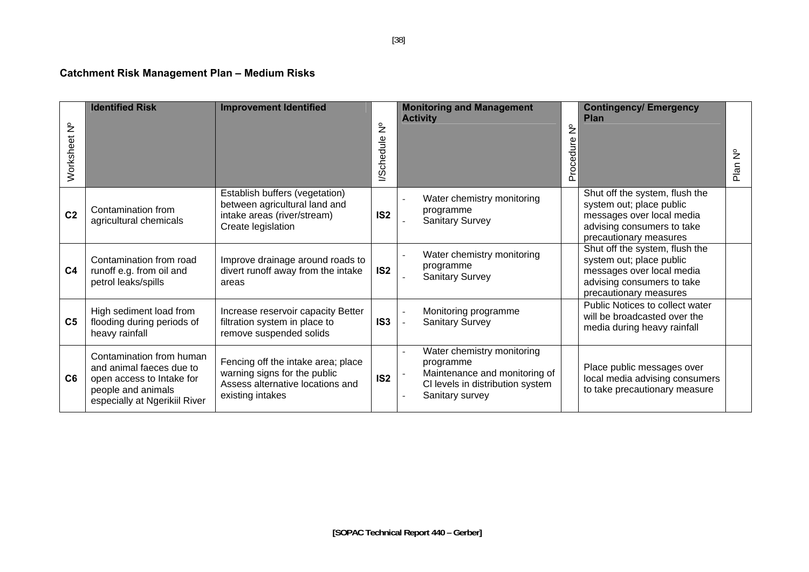# **Catchment Risk Management Plan – Medium Risks**

| $\frac{1}{2}$<br>Worksheet | <b>Identified Risk</b>                                                                                                                   | <b>Improvement Identified</b>                                                                                              | $\frac{1}{2}$<br>chedule<br>$\tilde{\mathcal{Q}}$ | <b>Monitoring and Management</b><br><b>Activity</b>                                                                             | $\mathsf{\hat{z}}$<br>Procedure | <b>Contingency/Emergency</b><br><b>Plan</b>                                                                                                     | $\frac{1}{2}$<br>Plan |
|----------------------------|------------------------------------------------------------------------------------------------------------------------------------------|----------------------------------------------------------------------------------------------------------------------------|---------------------------------------------------|---------------------------------------------------------------------------------------------------------------------------------|---------------------------------|-------------------------------------------------------------------------------------------------------------------------------------------------|-----------------------|
| C <sub>2</sub>             | Contamination from<br>agricultural chemicals                                                                                             | Establish buffers (vegetation)<br>between agricultural land and<br>intake areas (river/stream)<br>Create legislation       | IS <sub>2</sub>                                   | Water chemistry monitoring<br>programme<br><b>Sanitary Survey</b>                                                               |                                 | Shut off the system, flush the<br>system out; place public<br>messages over local media<br>advising consumers to take<br>precautionary measures |                       |
| C <sub>4</sub>             | Contamination from road<br>runoff e.g. from oil and<br>petrol leaks/spills                                                               | Improve drainage around roads to<br>divert runoff away from the intake<br>areas                                            | IS <sub>2</sub>                                   | Water chemistry monitoring<br>programme<br><b>Sanitary Survey</b>                                                               |                                 | Shut off the system, flush the<br>system out; place public<br>messages over local media<br>advising consumers to take<br>precautionary measures |                       |
| C <sub>5</sub>             | High sediment load from<br>flooding during periods of<br>heavy rainfall                                                                  | Increase reservoir capacity Better<br>filtration system in place to<br>remove suspended solids                             | IS <sub>3</sub>                                   | Monitoring programme<br><b>Sanitary Survey</b>                                                                                  |                                 | Public Notices to collect water<br>will be broadcasted over the<br>media during heavy rainfall                                                  |                       |
| C <sub>6</sub>             | Contamination from human<br>and animal faeces due to<br>open access to Intake for<br>people and animals<br>especially at Ngerikiil River | Fencing off the intake area; place<br>warning signs for the public<br>Assess alternative locations and<br>existing intakes | IS <sub>2</sub>                                   | Water chemistry monitoring<br>programme<br>Maintenance and monitoring of<br>CI levels in distribution system<br>Sanitary survey |                                 | Place public messages over<br>local media advising consumers<br>to take precautionary measure                                                   |                       |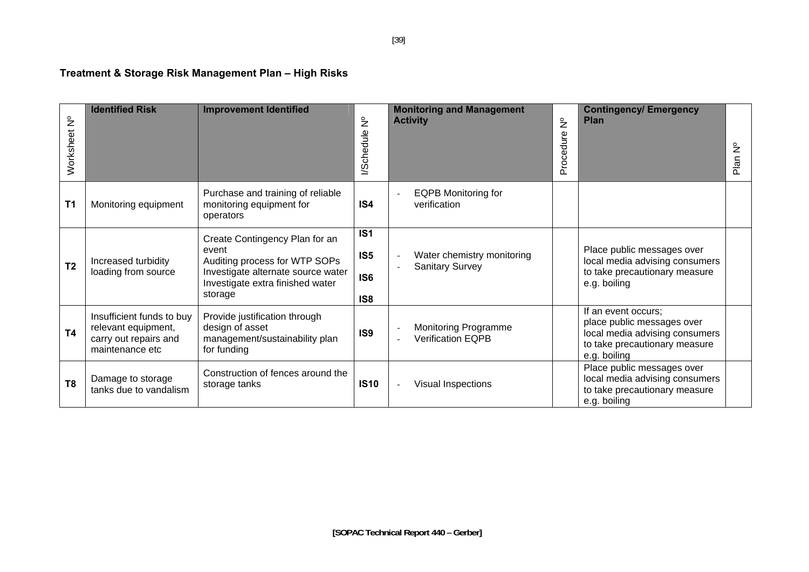# **Treatment & Storage Risk Management Plan – High Risks**

| $\frac{1}{2}$<br>Worksheet | <b>Identified Risk</b>                                                                       | <b>Improvement Identified</b>                                                                                                                                 | $\frac{1}{2}$<br><b>//Schedule</b>                                       | <b>Monitoring and Management</b><br><b>Activity</b>                              | $\frac{1}{2}$<br>Procedure | <b>Contingency/ Emergency</b><br><b>Plan</b>                                                                                         | $\frac{1}{2}$<br>Plan |
|----------------------------|----------------------------------------------------------------------------------------------|---------------------------------------------------------------------------------------------------------------------------------------------------------------|--------------------------------------------------------------------------|----------------------------------------------------------------------------------|----------------------------|--------------------------------------------------------------------------------------------------------------------------------------|-----------------------|
| T <sub>1</sub>             | Monitoring equipment                                                                         | Purchase and training of reliable<br>monitoring equipment for<br>operators                                                                                    | IS4                                                                      | <b>EQPB Monitoring for</b><br>verification                                       |                            |                                                                                                                                      |                       |
| T <sub>2</sub>             | Increased turbidity<br>loading from source                                                   | Create Contingency Plan for an<br>event<br>Auditing process for WTP SOPs<br>Investigate alternate source water<br>Investigate extra finished water<br>storage | IS <sub>1</sub><br>IS <sub>5</sub><br>IS <sub>6</sub><br>IS <sub>8</sub> | Water chemistry monitoring<br><b>Sanitary Survey</b><br>$\overline{\phantom{a}}$ |                            | Place public messages over<br>local media advising consumers<br>to take precautionary measure<br>e.g. boiling                        |                       |
| <b>T4</b>                  | Insufficient funds to buy<br>relevant equipment,<br>carry out repairs and<br>maintenance etc | Provide justification through<br>design of asset<br>management/sustainability plan<br>for funding                                                             | IS <sub>9</sub>                                                          | <b>Monitoring Programme</b><br>Verification EQPB                                 |                            | If an event occurs;<br>place public messages over<br>local media advising consumers<br>to take precautionary measure<br>e.g. boiling |                       |
| T <sub>8</sub>             | Damage to storage<br>tanks due to vandalism                                                  | Construction of fences around the<br>storage tanks                                                                                                            | <b>IS10</b>                                                              | Visual Inspections                                                               |                            | Place public messages over<br>local media advising consumers<br>to take precautionary measure<br>e.g. boiling                        |                       |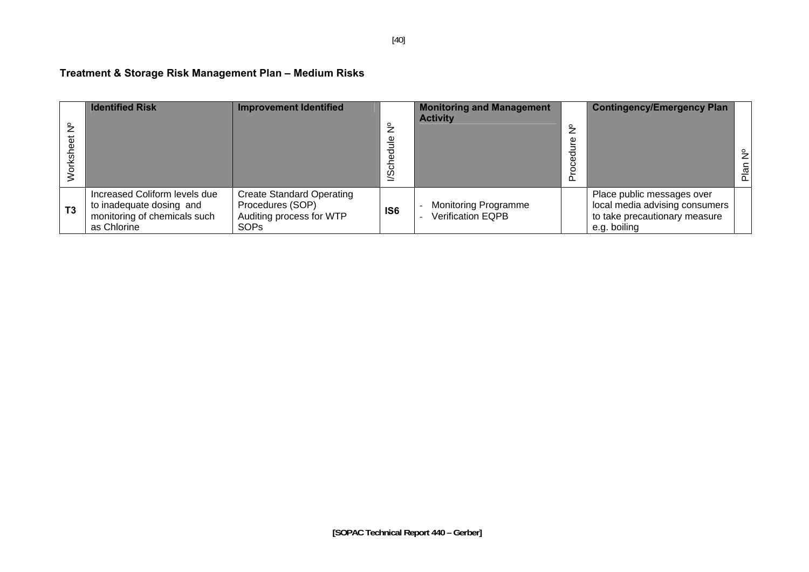# **Treatment & Storage Risk Management Plan – Medium Risks**

|                | <b>Identified Risk</b>                                                                                   | <b>Improvement Identified</b>                                                                   | $\frac{1}{2}$<br>Φ<br>टु<br>/Sch | <b>Monitoring and Management</b><br><b>Activity</b>     | $\tilde{z}$<br>n | <b>Contingency/Emergency Plan</b>                                                                             | $\tilde{z}$<br>Plan |
|----------------|----------------------------------------------------------------------------------------------------------|-------------------------------------------------------------------------------------------------|----------------------------------|---------------------------------------------------------|------------------|---------------------------------------------------------------------------------------------------------------|---------------------|
| T <sub>3</sub> | Increased Coliform levels due<br>to inadequate dosing and<br>monitoring of chemicals such<br>as Chlorine | <b>Create Standard Operating</b><br>Procedures (SOP)<br>Auditing process for WTP<br><b>SOPs</b> | IS <sub>6</sub>                  | <b>Monitoring Programme</b><br><b>Verification EQPB</b> |                  | Place public messages over<br>local media advising consumers<br>to take precautionary measure<br>e.g. boiling |                     |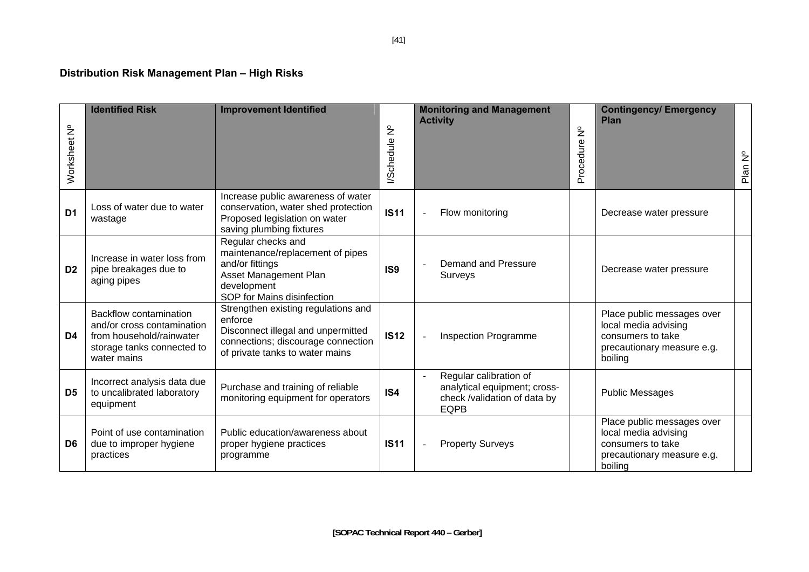# **Distribution Risk Management Plan – High Risks**

| $\frac{1}{2}$<br>Worksheet | <b>Identified Risk</b>                                                                                                               | <b>Improvement Identified</b>                                                                                                                                 | /Schedule Nº    | <b>Monitoring and Management</b><br><b>Activity</b>                                                   | $\frac{1}{2}$<br>Procedure | <b>Contingency/ Emergency</b><br>Plan                                                                            | Plan Nº |
|----------------------------|--------------------------------------------------------------------------------------------------------------------------------------|---------------------------------------------------------------------------------------------------------------------------------------------------------------|-----------------|-------------------------------------------------------------------------------------------------------|----------------------------|------------------------------------------------------------------------------------------------------------------|---------|
| D <sub>1</sub>             | Loss of water due to water<br>wastage                                                                                                | Increase public awareness of water<br>conservation, water shed protection<br>Proposed legislation on water<br>saving plumbing fixtures                        | <b>IS11</b>     | Flow monitoring<br>$\overline{\phantom{a}}$                                                           |                            | Decrease water pressure                                                                                          |         |
| D <sub>2</sub>             | Increase in water loss from<br>pipe breakages due to<br>aging pipes                                                                  | Regular checks and<br>maintenance/replacement of pipes<br>and/or fittings<br>Asset Management Plan<br>development<br>SOP for Mains disinfection               | IS <sub>9</sub> | Demand and Pressure<br><b>Surveys</b>                                                                 |                            | Decrease water pressure                                                                                          |         |
| D4                         | <b>Backflow contamination</b><br>and/or cross contamination<br>from household/rainwater<br>storage tanks connected to<br>water mains | Strengthen existing regulations and<br>enforce<br>Disconnect illegal and unpermitted<br>connections; discourage connection<br>of private tanks to water mains | <b>IS12</b>     | <b>Inspection Programme</b><br>$\overline{a}$                                                         |                            | Place public messages over<br>local media advising<br>consumers to take<br>precautionary measure e.g.<br>boiling |         |
| D <sub>5</sub>             | Incorrect analysis data due<br>to uncalibrated laboratory<br>equipment                                                               | Purchase and training of reliable<br>monitoring equipment for operators                                                                                       | IS4             | Regular calibration of<br>analytical equipment; cross-<br>check /validation of data by<br><b>EQPB</b> |                            | <b>Public Messages</b>                                                                                           |         |
| D <sub>6</sub>             | Point of use contamination<br>due to improper hygiene<br>practices                                                                   | Public education/awareness about<br>proper hygiene practices<br>programme                                                                                     | <b>IS11</b>     | <b>Property Surveys</b>                                                                               |                            | Place public messages over<br>local media advising<br>consumers to take<br>precautionary measure e.g.<br>boiling |         |